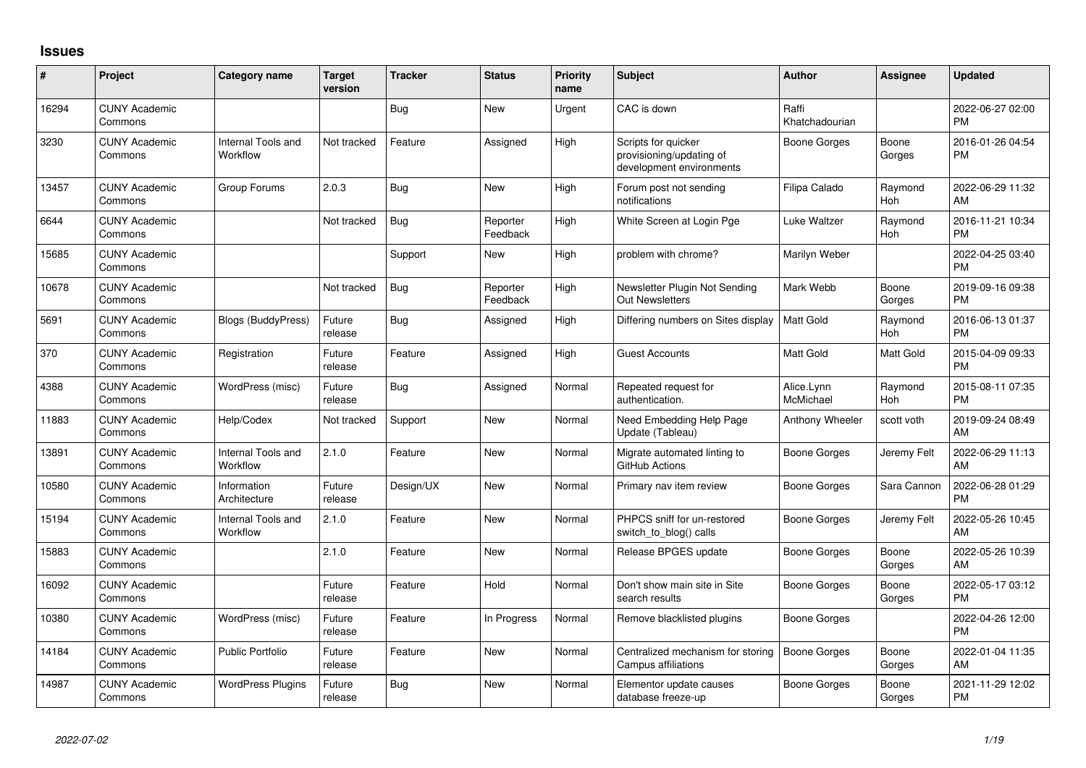## **Issues**

| #     | Project                         | Category name                         | <b>Target</b><br>version | <b>Tracker</b> | <b>Status</b>        | <b>Priority</b><br>name | Subject                                                                     | <b>Author</b>           | <b>Assignee</b> | <b>Updated</b>                |
|-------|---------------------------------|---------------------------------------|--------------------------|----------------|----------------------|-------------------------|-----------------------------------------------------------------------------|-------------------------|-----------------|-------------------------------|
| 16294 | <b>CUNY Academic</b><br>Commons |                                       |                          | <b>Bug</b>     | <b>New</b>           | Urgent                  | CAC is down                                                                 | Raffi<br>Khatchadourian |                 | 2022-06-27 02:00<br><b>PM</b> |
| 3230  | <b>CUNY Academic</b><br>Commons | <b>Internal Tools and</b><br>Workflow | Not tracked              | Feature        | Assigned             | High                    | Scripts for quicker<br>provisioning/updating of<br>development environments | Boone Gorges            | Boone<br>Gorges | 2016-01-26 04:54<br><b>PM</b> |
| 13457 | <b>CUNY Academic</b><br>Commons | Group Forums                          | 2.0.3                    | <b>Bug</b>     | <b>New</b>           | High                    | Forum post not sending<br>notifications                                     | Filipa Calado           | Raymond<br>Hoh  | 2022-06-29 11:32<br>AM        |
| 6644  | <b>CUNY Academic</b><br>Commons |                                       | Not tracked              | Bug            | Reporter<br>Feedback | High                    | White Screen at Login Pge                                                   | Luke Waltzer            | Raymond<br>Hoh  | 2016-11-21 10:34<br><b>PM</b> |
| 15685 | <b>CUNY Academic</b><br>Commons |                                       |                          | Support        | <b>New</b>           | High                    | problem with chrome?                                                        | Marilyn Weber           |                 | 2022-04-25 03:40<br><b>PM</b> |
| 10678 | <b>CUNY Academic</b><br>Commons |                                       | Not tracked              | <b>Bug</b>     | Reporter<br>Feedback | High                    | Newsletter Plugin Not Sending<br><b>Out Newsletters</b>                     | Mark Webb               | Boone<br>Gorges | 2019-09-16 09:38<br><b>PM</b> |
| 5691  | <b>CUNY Academic</b><br>Commons | <b>Blogs (BuddyPress)</b>             | Future<br>release        | Bug            | Assigned             | High                    | Differing numbers on Sites display                                          | Matt Gold               | Raymond<br>Hoh  | 2016-06-13 01:37<br><b>PM</b> |
| 370   | <b>CUNY Academic</b><br>Commons | Registration                          | Future<br>release        | Feature        | Assigned             | High                    | <b>Guest Accounts</b>                                                       | <b>Matt Gold</b>        | Matt Gold       | 2015-04-09 09:33<br><b>PM</b> |
| 4388  | <b>CUNY Academic</b><br>Commons | WordPress (misc)                      | Future<br>release        | Bug            | Assigned             | Normal                  | Repeated request for<br>authentication.                                     | Alice.Lynn<br>McMichael | Raymond<br>Hoh  | 2015-08-11 07:35<br><b>PM</b> |
| 11883 | <b>CUNY Academic</b><br>Commons | Help/Codex                            | Not tracked              | Support        | <b>New</b>           | Normal                  | Need Embedding Help Page<br>Update (Tableau)                                | Anthony Wheeler         | scott voth      | 2019-09-24 08:49<br>AM        |
| 13891 | <b>CUNY Academic</b><br>Commons | Internal Tools and<br>Workflow        | 2.1.0                    | Feature        | <b>New</b>           | Normal                  | Migrate automated linting to<br>GitHub Actions                              | Boone Gorges            | Jeremy Felt     | 2022-06-29 11:13<br>AM        |
| 10580 | <b>CUNY Academic</b><br>Commons | Information<br>Architecture           | Future<br>release        | Design/UX      | <b>New</b>           | Normal                  | Primary nav item review                                                     | <b>Boone Gorges</b>     | Sara Cannon     | 2022-06-28 01:29<br><b>PM</b> |
| 15194 | <b>CUNY Academic</b><br>Commons | Internal Tools and<br>Workflow        | 2.1.0                    | Feature        | <b>New</b>           | Normal                  | PHPCS sniff for un-restored<br>switch_to_blog() calls                       | Boone Gorges            | Jeremy Felt     | 2022-05-26 10:45<br>AM        |
| 15883 | <b>CUNY Academic</b><br>Commons |                                       | 2.1.0                    | Feature        | <b>New</b>           | Normal                  | Release BPGES update                                                        | Boone Gorges            | Boone<br>Gorges | 2022-05-26 10:39<br>AM        |
| 16092 | <b>CUNY Academic</b><br>Commons |                                       | Future<br>release        | Feature        | Hold                 | Normal                  | Don't show main site in Site<br>search results                              | Boone Gorges            | Boone<br>Gorges | 2022-05-17 03:12<br><b>PM</b> |
| 10380 | <b>CUNY Academic</b><br>Commons | WordPress (misc)                      | Future<br>release        | Feature        | In Progress          | Normal                  | Remove blacklisted plugins                                                  | Boone Gorges            |                 | 2022-04-26 12:00<br><b>PM</b> |
| 14184 | <b>CUNY Academic</b><br>Commons | <b>Public Portfolio</b>               | Future<br>release        | Feature        | <b>New</b>           | Normal                  | Centralized mechanism for storing<br>Campus affiliations                    | Boone Gorges            | Boone<br>Gorges | 2022-01-04 11:35<br>AM        |
| 14987 | <b>CUNY Academic</b><br>Commons | <b>WordPress Plugins</b>              | Future<br>release        | Bug            | <b>New</b>           | Normal                  | Elementor update causes<br>database freeze-up                               | Boone Gorges            | Boone<br>Gorges | 2021-11-29 12:02<br><b>PM</b> |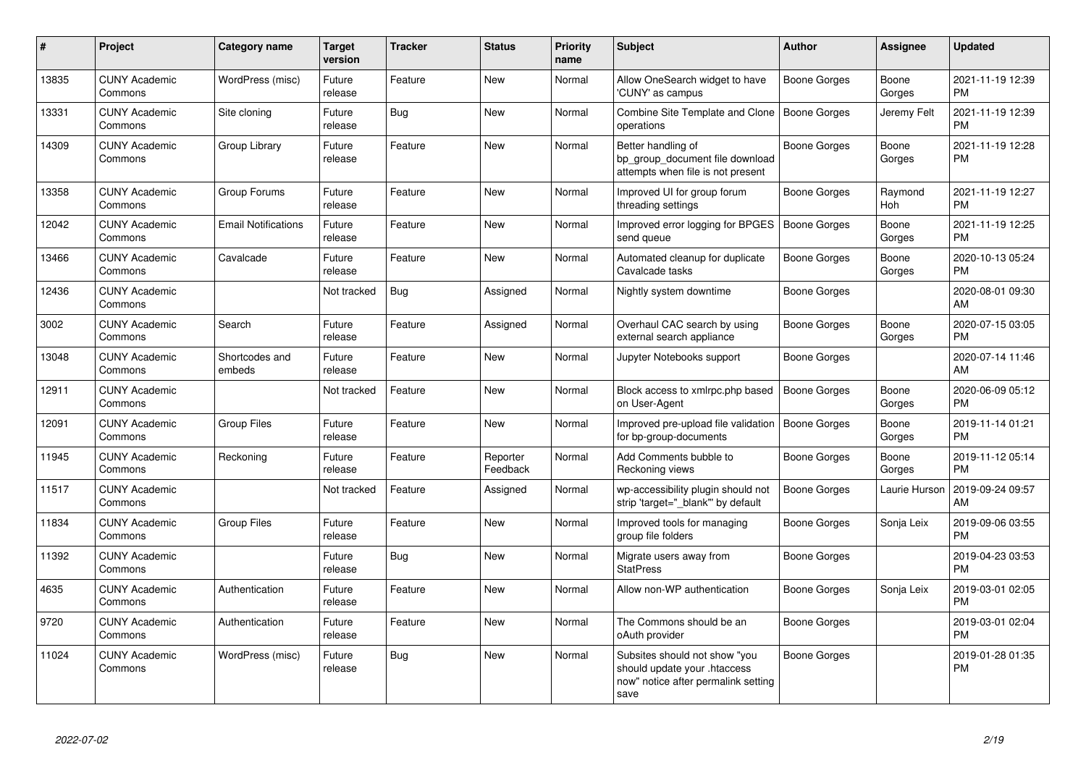| #     | Project                         | <b>Category name</b>       | Target<br>version | <b>Tracker</b> | <b>Status</b>        | <b>Priority</b><br>name | <b>Subject</b>                                                                                               | <b>Author</b>       | <b>Assignee</b> | <b>Updated</b>                |
|-------|---------------------------------|----------------------------|-------------------|----------------|----------------------|-------------------------|--------------------------------------------------------------------------------------------------------------|---------------------|-----------------|-------------------------------|
| 13835 | <b>CUNY Academic</b><br>Commons | WordPress (misc)           | Future<br>release | Feature        | <b>New</b>           | Normal                  | Allow OneSearch widget to have<br>'CUNY' as campus                                                           | Boone Gorges        | Boone<br>Gorges | 2021-11-19 12:39<br><b>PM</b> |
| 13331 | <b>CUNY Academic</b><br>Commons | Site cloning               | Future<br>release | <b>Bug</b>     | <b>New</b>           | Normal                  | Combine Site Template and Clone<br>operations                                                                | <b>Boone Gorges</b> | Jeremy Felt     | 2021-11-19 12:39<br><b>PM</b> |
| 14309 | <b>CUNY Academic</b><br>Commons | Group Library              | Future<br>release | Feature        | New                  | Normal                  | Better handling of<br>bp group document file download<br>attempts when file is not present                   | Boone Gorges        | Boone<br>Gorges | 2021-11-19 12:28<br><b>PM</b> |
| 13358 | <b>CUNY Academic</b><br>Commons | Group Forums               | Future<br>release | Feature        | New                  | Normal                  | Improved UI for group forum<br>threading settings                                                            | Boone Gorges        | Raymond<br>Hoh  | 2021-11-19 12:27<br><b>PM</b> |
| 12042 | <b>CUNY Academic</b><br>Commons | <b>Email Notifications</b> | Future<br>release | Feature        | New                  | Normal                  | Improved error logging for BPGES<br>send queue                                                               | <b>Boone Gorges</b> | Boone<br>Gorges | 2021-11-19 12:25<br><b>PM</b> |
| 13466 | <b>CUNY Academic</b><br>Commons | Cavalcade                  | Future<br>release | Feature        | <b>New</b>           | Normal                  | Automated cleanup for duplicate<br>Cavalcade tasks                                                           | Boone Gorges        | Boone<br>Gorges | 2020-10-13 05:24<br><b>PM</b> |
| 12436 | <b>CUNY Academic</b><br>Commons |                            | Not tracked       | Bug            | Assigned             | Normal                  | Nightly system downtime                                                                                      | Boone Gorges        |                 | 2020-08-01 09:30<br>AM        |
| 3002  | <b>CUNY Academic</b><br>Commons | Search                     | Future<br>release | Feature        | Assigned             | Normal                  | Overhaul CAC search by using<br>external search appliance                                                    | Boone Gorges        | Boone<br>Gorges | 2020-07-15 03:05<br><b>PM</b> |
| 13048 | <b>CUNY Academic</b><br>Commons | Shortcodes and<br>embeds   | Future<br>release | Feature        | New                  | Normal                  | Jupyter Notebooks support                                                                                    | Boone Gorges        |                 | 2020-07-14 11:46<br><b>AM</b> |
| 12911 | <b>CUNY Academic</b><br>Commons |                            | Not tracked       | Feature        | New                  | Normal                  | Block access to xmlrpc.php based<br>on User-Agent                                                            | Boone Gorges        | Boone<br>Gorges | 2020-06-09 05:12<br><b>PM</b> |
| 12091 | <b>CUNY Academic</b><br>Commons | <b>Group Files</b>         | Future<br>release | Feature        | New                  | Normal                  | Improved pre-upload file validation<br>for bp-group-documents                                                | Boone Gorges        | Boone<br>Gorges | 2019-11-14 01:21<br><b>PM</b> |
| 11945 | <b>CUNY Academic</b><br>Commons | Reckoning                  | Future<br>release | Feature        | Reporter<br>Feedback | Normal                  | Add Comments bubble to<br>Reckoning views                                                                    | Boone Gorges        | Boone<br>Gorges | 2019-11-12 05:14<br><b>PM</b> |
| 11517 | <b>CUNY Academic</b><br>Commons |                            | Not tracked       | Feature        | Assigned             | Normal                  | wp-accessibility plugin should not<br>strip 'target="_blank"' by default                                     | <b>Boone Gorges</b> | Laurie Hurson   | 2019-09-24 09:57<br>AM        |
| 11834 | <b>CUNY Academic</b><br>Commons | <b>Group Files</b>         | Future<br>release | Feature        | <b>New</b>           | Normal                  | Improved tools for managing<br>group file folders                                                            | Boone Gorges        | Sonja Leix      | 2019-09-06 03:55<br><b>PM</b> |
| 11392 | <b>CUNY Academic</b><br>Commons |                            | Future<br>release | <b>Bug</b>     | <b>New</b>           | Normal                  | Migrate users away from<br><b>StatPress</b>                                                                  | Boone Gorges        |                 | 2019-04-23 03:53<br><b>PM</b> |
| 4635  | <b>CUNY Academic</b><br>Commons | Authentication             | Future<br>release | Feature        | <b>New</b>           | Normal                  | Allow non-WP authentication                                                                                  | Boone Gorges        | Sonja Leix      | 2019-03-01 02:05<br><b>PM</b> |
| 9720  | <b>CUNY Academic</b><br>Commons | Authentication             | Future<br>release | Feature        | <b>New</b>           | Normal                  | The Commons should be an<br>oAuth provider                                                                   | Boone Gorges        |                 | 2019-03-01 02:04<br><b>PM</b> |
| 11024 | <b>CUNY Academic</b><br>Commons | WordPress (misc)           | Future<br>release | <b>Bug</b>     | <b>New</b>           | Normal                  | Subsites should not show "you<br>should update your .htaccess<br>now" notice after permalink setting<br>save | Boone Gorges        |                 | 2019-01-28 01:35<br><b>PM</b> |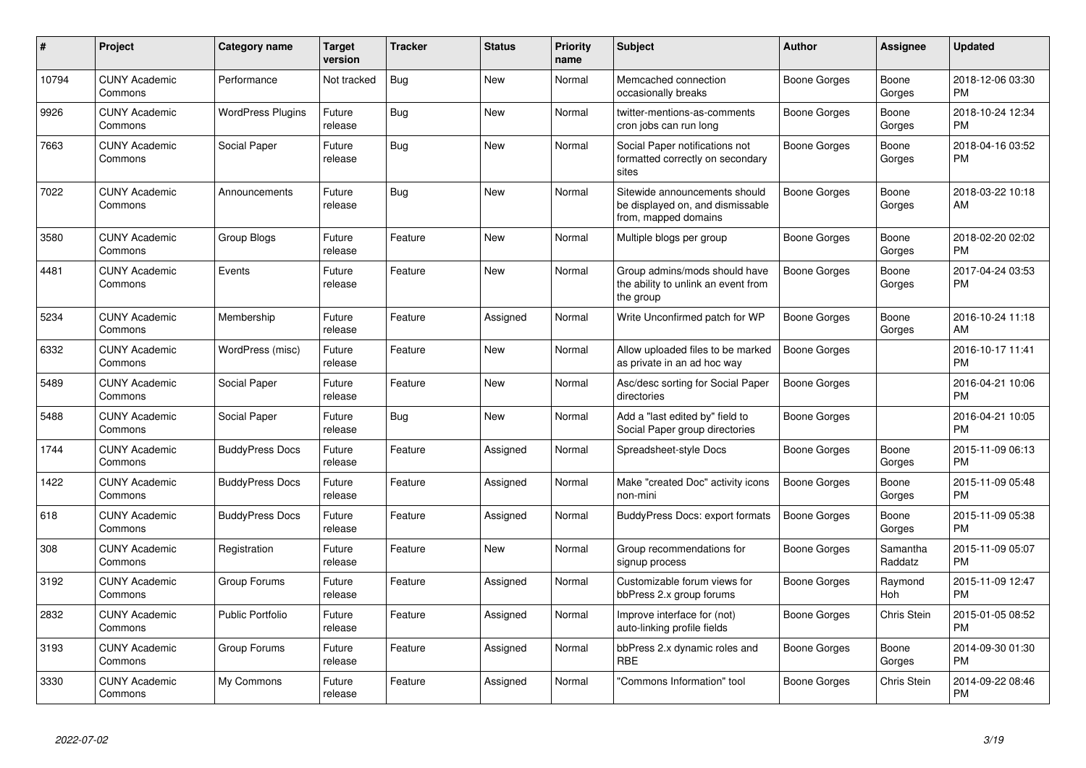| #     | Project                         | <b>Category name</b>     | <b>Target</b><br>version | <b>Tracker</b> | <b>Status</b> | <b>Priority</b><br>name | <b>Subject</b>                                                                            | <b>Author</b>       | <b>Assignee</b>     | <b>Updated</b>                |
|-------|---------------------------------|--------------------------|--------------------------|----------------|---------------|-------------------------|-------------------------------------------------------------------------------------------|---------------------|---------------------|-------------------------------|
| 10794 | <b>CUNY Academic</b><br>Commons | Performance              | Not tracked              | Bug            | <b>New</b>    | Normal                  | Memcached connection<br>occasionally breaks                                               | Boone Gorges        | Boone<br>Gorges     | 2018-12-06 03:30<br><b>PM</b> |
| 9926  | <b>CUNY Academic</b><br>Commons | <b>WordPress Plugins</b> | Future<br>release        | Bug            | <b>New</b>    | Normal                  | twitter-mentions-as-comments<br>cron jobs can run long                                    | Boone Gorges        | Boone<br>Gorges     | 2018-10-24 12:34<br><b>PM</b> |
| 7663  | <b>CUNY Academic</b><br>Commons | Social Paper             | Future<br>release        | Bug            | New           | Normal                  | Social Paper notifications not<br>formatted correctly on secondary<br>sites               | Boone Gorges        | Boone<br>Gorges     | 2018-04-16 03:52<br><b>PM</b> |
| 7022  | <b>CUNY Academic</b><br>Commons | Announcements            | Future<br>release        | Bug            | New           | Normal                  | Sitewide announcements should<br>be displayed on, and dismissable<br>from, mapped domains | Boone Gorges        | Boone<br>Gorges     | 2018-03-22 10:18<br>AM        |
| 3580  | <b>CUNY Academic</b><br>Commons | Group Blogs              | Future<br>release        | Feature        | <b>New</b>    | Normal                  | Multiple blogs per group                                                                  | Boone Gorges        | Boone<br>Gorges     | 2018-02-20 02:02<br><b>PM</b> |
| 4481  | <b>CUNY Academic</b><br>Commons | Events                   | Future<br>release        | Feature        | <b>New</b>    | Normal                  | Group admins/mods should have<br>the ability to unlink an event from<br>the group         | Boone Gorges        | Boone<br>Gorges     | 2017-04-24 03:53<br><b>PM</b> |
| 5234  | <b>CUNY Academic</b><br>Commons | Membership               | Future<br>release        | Feature        | Assigned      | Normal                  | Write Unconfirmed patch for WP                                                            | Boone Gorges        | Boone<br>Gorges     | 2016-10-24 11:18<br>AM        |
| 6332  | <b>CUNY Academic</b><br>Commons | WordPress (misc)         | Future<br>release        | Feature        | New           | Normal                  | Allow uploaded files to be marked<br>as private in an ad hoc way                          | Boone Gorges        |                     | 2016-10-17 11:41<br><b>PM</b> |
| 5489  | <b>CUNY Academic</b><br>Commons | Social Paper             | Future<br>release        | Feature        | <b>New</b>    | Normal                  | Asc/desc sorting for Social Paper<br>directories                                          | <b>Boone Gorges</b> |                     | 2016-04-21 10:06<br><b>PM</b> |
| 5488  | <b>CUNY Academic</b><br>Commons | Social Paper             | Future<br>release        | Bug            | <b>New</b>    | Normal                  | Add a "last edited by" field to<br>Social Paper group directories                         | Boone Gorges        |                     | 2016-04-21 10:05<br><b>PM</b> |
| 1744  | <b>CUNY Academic</b><br>Commons | <b>BuddyPress Docs</b>   | Future<br>release        | Feature        | Assigned      | Normal                  | Spreadsheet-style Docs                                                                    | Boone Gorges        | Boone<br>Gorges     | 2015-11-09 06:13<br><b>PM</b> |
| 1422  | <b>CUNY Academic</b><br>Commons | <b>BuddyPress Docs</b>   | Future<br>release        | Feature        | Assigned      | Normal                  | Make "created Doc" activity icons<br>non-mini                                             | Boone Gorges        | Boone<br>Gorges     | 2015-11-09 05:48<br><b>PM</b> |
| 618   | <b>CUNY Academic</b><br>Commons | <b>BuddyPress Docs</b>   | Future<br>release        | Feature        | Assigned      | Normal                  | <b>BuddyPress Docs: export formats</b>                                                    | Boone Gorges        | Boone<br>Gorges     | 2015-11-09 05:38<br><b>PM</b> |
| 308   | <b>CUNY Academic</b><br>Commons | Registration             | Future<br>release        | Feature        | New           | Normal                  | Group recommendations for<br>signup process                                               | Boone Gorges        | Samantha<br>Raddatz | 2015-11-09 05:07<br><b>PM</b> |
| 3192  | <b>CUNY Academic</b><br>Commons | Group Forums             | Future<br>release        | Feature        | Assigned      | Normal                  | Customizable forum views for<br>bbPress 2.x group forums                                  | Boone Gorges        | Raymond<br>Hoh      | 2015-11-09 12:47<br><b>PM</b> |
| 2832  | <b>CUNY Academic</b><br>Commons | <b>Public Portfolio</b>  | Future<br>release        | Feature        | Assigned      | Normal                  | Improve interface for (not)<br>auto-linking profile fields                                | Boone Gorges        | Chris Stein         | 2015-01-05 08:52<br><b>PM</b> |
| 3193  | <b>CUNY Academic</b><br>Commons | Group Forums             | Future<br>release        | Feature        | Assigned      | Normal                  | bbPress 2.x dynamic roles and<br><b>RBE</b>                                               | Boone Gorges        | Boone<br>Gorges     | 2014-09-30 01:30<br><b>PM</b> |
| 3330  | <b>CUNY Academic</b><br>Commons | My Commons               | Future<br>release        | Feature        | Assigned      | Normal                  | "Commons Information" tool                                                                | Boone Gorges        | Chris Stein         | 2014-09-22 08:46<br><b>PM</b> |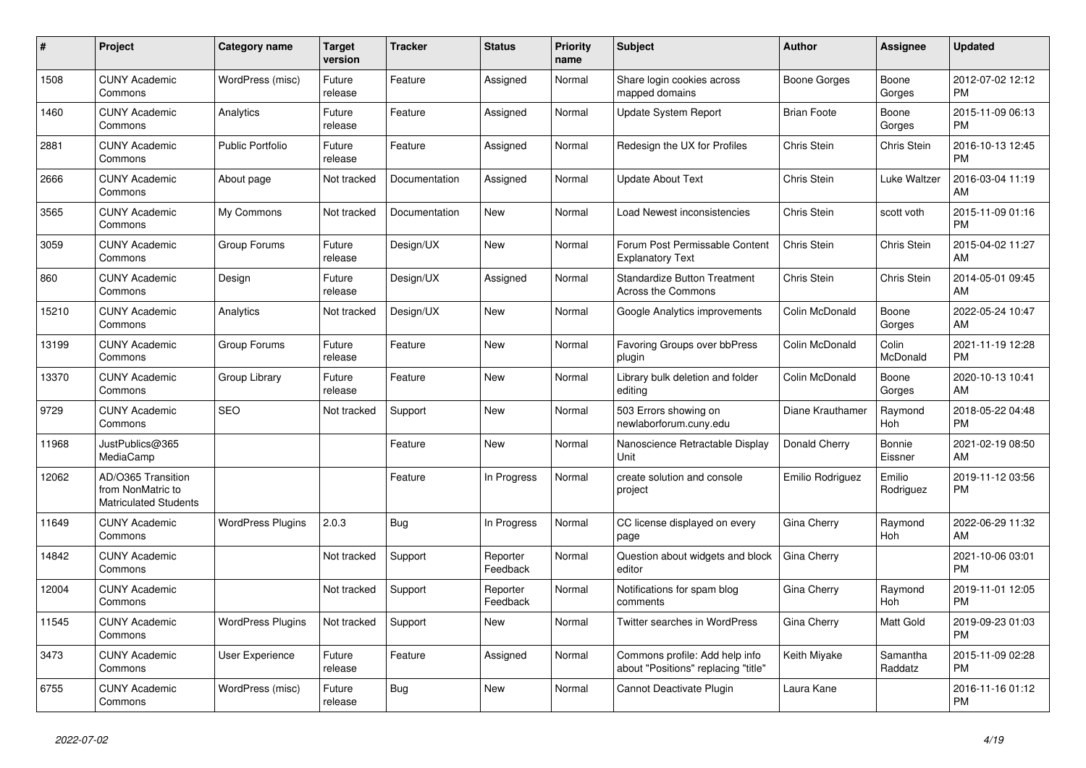| #     | <b>Project</b>                                                          | Category name            | <b>Target</b><br>version | <b>Tracker</b> | <b>Status</b>        | <b>Priority</b><br>name | <b>Subject</b>                                                        | <b>Author</b>      | Assignee            | <b>Updated</b>                |
|-------|-------------------------------------------------------------------------|--------------------------|--------------------------|----------------|----------------------|-------------------------|-----------------------------------------------------------------------|--------------------|---------------------|-------------------------------|
| 1508  | <b>CUNY Academic</b><br>Commons                                         | WordPress (misc)         | Future<br>release        | Feature        | Assigned             | Normal                  | Share login cookies across<br>mapped domains                          | Boone Gorges       | Boone<br>Gorges     | 2012-07-02 12:12<br><b>PM</b> |
| 1460  | <b>CUNY Academic</b><br>Commons                                         | Analytics                | Future<br>release        | Feature        | Assigned             | Normal                  | Update System Report                                                  | <b>Brian Foote</b> | Boone<br>Gorges     | 2015-11-09 06:13<br><b>PM</b> |
| 2881  | <b>CUNY Academic</b><br>Commons                                         | Public Portfolio         | Future<br>release        | Feature        | Assigned             | Normal                  | Redesign the UX for Profiles                                          | Chris Stein        | Chris Stein         | 2016-10-13 12:45<br><b>PM</b> |
| 2666  | <b>CUNY Academic</b><br>Commons                                         | About page               | Not tracked              | Documentation  | Assigned             | Normal                  | <b>Update About Text</b>                                              | Chris Stein        | Luke Waltzer        | 2016-03-04 11:19<br>AM        |
| 3565  | <b>CUNY Academic</b><br>Commons                                         | My Commons               | Not tracked              | Documentation  | New                  | Normal                  | Load Newest inconsistencies                                           | Chris Stein        | scott voth          | 2015-11-09 01:16<br><b>PM</b> |
| 3059  | <b>CUNY Academic</b><br>Commons                                         | Group Forums             | Future<br>release        | Design/UX      | New                  | Normal                  | Forum Post Permissable Content<br><b>Explanatory Text</b>             | Chris Stein        | Chris Stein         | 2015-04-02 11:27<br><b>AM</b> |
| 860   | <b>CUNY Academic</b><br>Commons                                         | Design                   | Future<br>release        | Design/UX      | Assigned             | Normal                  | <b>Standardize Button Treatment</b><br><b>Across the Commons</b>      | Chris Stein        | Chris Stein         | 2014-05-01 09:45<br>AM        |
| 15210 | <b>CUNY Academic</b><br>Commons                                         | Analytics                | Not tracked              | Design/UX      | <b>New</b>           | Normal                  | Google Analytics improvements                                         | Colin McDonald     | Boone<br>Gorges     | 2022-05-24 10:47<br>AM        |
| 13199 | <b>CUNY Academic</b><br>Commons                                         | Group Forums             | Future<br>release        | Feature        | <b>New</b>           | Normal                  | Favoring Groups over bbPress<br>plugin                                | Colin McDonald     | Colin<br>McDonald   | 2021-11-19 12:28<br><b>PM</b> |
| 13370 | <b>CUNY Academic</b><br>Commons                                         | Group Library            | Future<br>release        | Feature        | New                  | Normal                  | Library bulk deletion and folder<br>editing                           | Colin McDonald     | Boone<br>Gorges     | 2020-10-13 10:41<br>AM        |
| 9729  | <b>CUNY Academic</b><br>Commons                                         | <b>SEO</b>               | Not tracked              | Support        | <b>New</b>           | Normal                  | 503 Errors showing on<br>newlaborforum.cuny.edu                       | Diane Krauthamer   | Raymond<br>Hoh      | 2018-05-22 04:48<br><b>PM</b> |
| 11968 | JustPublics@365<br>MediaCamp                                            |                          |                          | Feature        | <b>New</b>           | Normal                  | Nanoscience Retractable Display<br>Unit                               | Donald Cherry      | Bonnie<br>Eissner   | 2021-02-19 08:50<br><b>AM</b> |
| 12062 | AD/O365 Transition<br>from NonMatric to<br><b>Matriculated Students</b> |                          |                          | Feature        | In Progress          | Normal                  | create solution and console<br>project                                | Emilio Rodriguez   | Emilio<br>Rodriguez | 2019-11-12 03:56<br><b>PM</b> |
| 11649 | <b>CUNY Academic</b><br>Commons                                         | <b>WordPress Plugins</b> | 2.0.3                    | Bug            | In Progress          | Normal                  | CC license displayed on every<br>page                                 | Gina Cherry        | Raymond<br>Hoh      | 2022-06-29 11:32<br><b>AM</b> |
| 14842 | <b>CUNY Academic</b><br>Commons                                         |                          | Not tracked              | Support        | Reporter<br>Feedback | Normal                  | Question about widgets and block<br>editor                            | Gina Cherry        |                     | 2021-10-06 03:01<br><b>PM</b> |
| 12004 | <b>CUNY Academic</b><br>Commons                                         |                          | Not tracked              | Support        | Reporter<br>Feedback | Normal                  | Notifications for spam blog<br>comments                               | Gina Cherry        | Raymond<br>Hoh      | 2019-11-01 12:05<br><b>PM</b> |
| 11545 | <b>CUNY Academic</b><br>Commons                                         | <b>WordPress Plugins</b> | Not tracked              | Support        | <b>New</b>           | Normal                  | Twitter searches in WordPress                                         | <b>Gina Cherry</b> | Matt Gold           | 2019-09-23 01:03<br><b>PM</b> |
| 3473  | <b>CUNY Academic</b><br>Commons                                         | User Experience          | Future<br>release        | Feature        | Assigned             | Normal                  | Commons profile: Add help info<br>about "Positions" replacing "title" | Keith Miyake       | Samantha<br>Raddatz | 2015-11-09 02:28<br><b>PM</b> |
| 6755  | <b>CUNY Academic</b><br>Commons                                         | WordPress (misc)         | Future<br>release        | Bug            | New                  | Normal                  | <b>Cannot Deactivate Plugin</b>                                       | Laura Kane         |                     | 2016-11-16 01:12<br><b>PM</b> |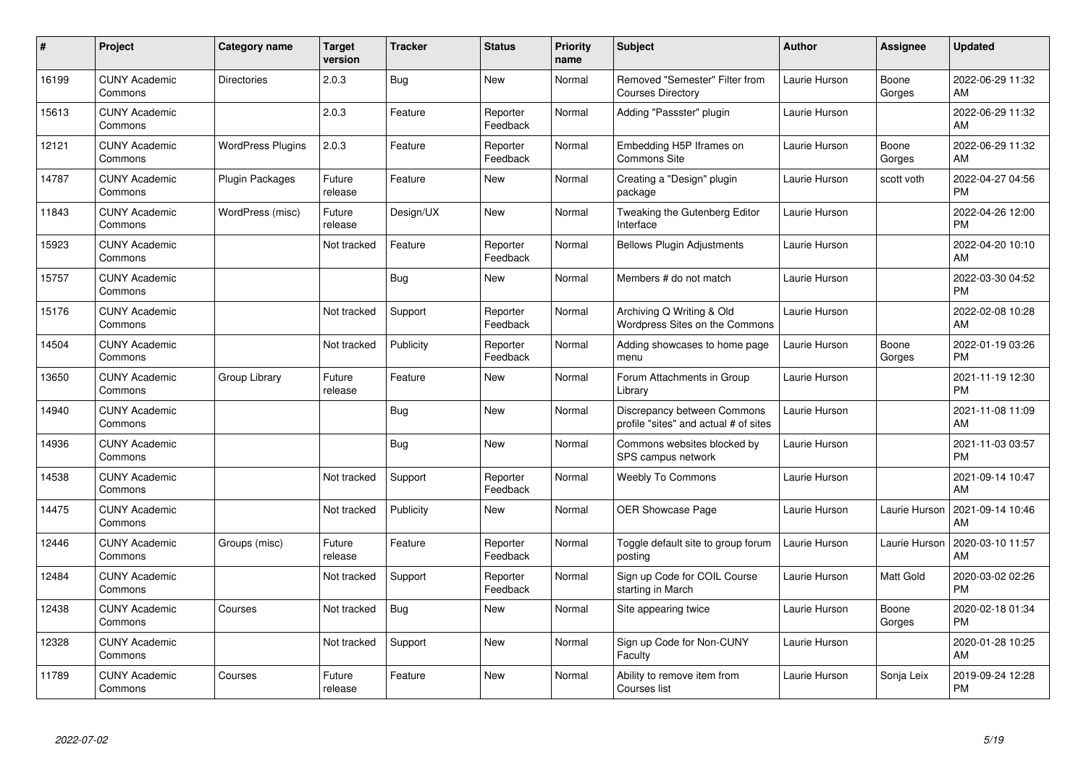| #     | Project                         | <b>Category name</b>     | <b>Target</b><br>version | <b>Tracker</b> | <b>Status</b>        | <b>Priority</b><br>name | <b>Subject</b>                                                       | <b>Author</b> | Assignee        | <b>Updated</b>                |
|-------|---------------------------------|--------------------------|--------------------------|----------------|----------------------|-------------------------|----------------------------------------------------------------------|---------------|-----------------|-------------------------------|
| 16199 | <b>CUNY Academic</b><br>Commons | <b>Directories</b>       | 2.0.3                    | Bug            | <b>New</b>           | Normal                  | Removed "Semester" Filter from<br><b>Courses Directory</b>           | Laurie Hurson | Boone<br>Gorges | 2022-06-29 11:32<br>AM        |
| 15613 | <b>CUNY Academic</b><br>Commons |                          | 2.0.3                    | Feature        | Reporter<br>Feedback | Normal                  | Adding "Passster" plugin                                             | Laurie Hurson |                 | 2022-06-29 11:32<br>AM        |
| 12121 | <b>CUNY Academic</b><br>Commons | <b>WordPress Plugins</b> | 2.0.3                    | Feature        | Reporter<br>Feedback | Normal                  | Embedding H5P Iframes on<br><b>Commons Site</b>                      | Laurie Hurson | Boone<br>Gorges | 2022-06-29 11:32<br>AM        |
| 14787 | <b>CUNY Academic</b><br>Commons | Plugin Packages          | Future<br>release        | Feature        | <b>New</b>           | Normal                  | Creating a "Design" plugin<br>package                                | Laurie Hurson | scott voth      | 2022-04-27 04:56<br><b>PM</b> |
| 11843 | <b>CUNY Academic</b><br>Commons | WordPress (misc)         | Future<br>release        | Design/UX      | <b>New</b>           | Normal                  | Tweaking the Gutenberg Editor<br>Interface                           | Laurie Hurson |                 | 2022-04-26 12:00<br><b>PM</b> |
| 15923 | <b>CUNY Academic</b><br>Commons |                          | Not tracked              | Feature        | Reporter<br>Feedback | Normal                  | <b>Bellows Plugin Adjustments</b>                                    | Laurie Hurson |                 | 2022-04-20 10:10<br>AM        |
| 15757 | <b>CUNY Academic</b><br>Commons |                          |                          | Bug            | <b>New</b>           | Normal                  | Members # do not match                                               | Laurie Hurson |                 | 2022-03-30 04:52<br><b>PM</b> |
| 15176 | <b>CUNY Academic</b><br>Commons |                          | Not tracked              | Support        | Reporter<br>Feedback | Normal                  | Archiving Q Writing & Old<br>Wordpress Sites on the Commons          | Laurie Hurson |                 | 2022-02-08 10:28<br>AM        |
| 14504 | <b>CUNY Academic</b><br>Commons |                          | Not tracked              | Publicity      | Reporter<br>Feedback | Normal                  | Adding showcases to home page<br>menu                                | Laurie Hurson | Boone<br>Gorges | 2022-01-19 03:26<br><b>PM</b> |
| 13650 | <b>CUNY Academic</b><br>Commons | Group Library            | Future<br>release        | Feature        | <b>New</b>           | Normal                  | Forum Attachments in Group<br>Library                                | Laurie Hurson |                 | 2021-11-19 12:30<br><b>PM</b> |
| 14940 | <b>CUNY Academic</b><br>Commons |                          |                          | Bug            | <b>New</b>           | Normal                  | Discrepancy between Commons<br>profile "sites" and actual # of sites | Laurie Hurson |                 | 2021-11-08 11:09<br>AM        |
| 14936 | <b>CUNY Academic</b><br>Commons |                          |                          | Bug            | New                  | Normal                  | Commons websites blocked by<br>SPS campus network                    | Laurie Hurson |                 | 2021-11-03 03:57<br><b>PM</b> |
| 14538 | <b>CUNY Academic</b><br>Commons |                          | Not tracked              | Support        | Reporter<br>Feedback | Normal                  | <b>Weebly To Commons</b>                                             | Laurie Hurson |                 | 2021-09-14 10:47<br>AM        |
| 14475 | <b>CUNY Academic</b><br>Commons |                          | Not tracked              | Publicity      | New                  | Normal                  | <b>OER Showcase Page</b>                                             | Laurie Hurson | Laurie Hurson   | 2021-09-14 10:46<br>AM        |
| 12446 | <b>CUNY Academic</b><br>Commons | Groups (misc)            | Future<br>release        | Feature        | Reporter<br>Feedback | Normal                  | Toggle default site to group forum<br>posting                        | Laurie Hurson | Laurie Hurson   | 2020-03-10 11:57<br>AM        |
| 12484 | <b>CUNY Academic</b><br>Commons |                          | Not tracked              | Support        | Reporter<br>Feedback | Normal                  | Sign up Code for COIL Course<br>starting in March                    | Laurie Hurson | Matt Gold       | 2020-03-02 02:26<br><b>PM</b> |
| 12438 | <b>CUNY Academic</b><br>Commons | Courses                  | Not tracked              | <b>Bug</b>     | New                  | Normal                  | Site appearing twice                                                 | Laurie Hurson | Boone<br>Gorges | 2020-02-18 01:34<br><b>PM</b> |
| 12328 | <b>CUNY Academic</b><br>Commons |                          | Not tracked              | Support        | <b>New</b>           | Normal                  | Sign up Code for Non-CUNY<br>Faculty                                 | Laurie Hurson |                 | 2020-01-28 10:25<br>AM        |
| 11789 | <b>CUNY Academic</b><br>Commons | Courses                  | Future<br>release        | Feature        | <b>New</b>           | Normal                  | Ability to remove item from<br>Courses list                          | Laurie Hurson | Sonja Leix      | 2019-09-24 12:28<br><b>PM</b> |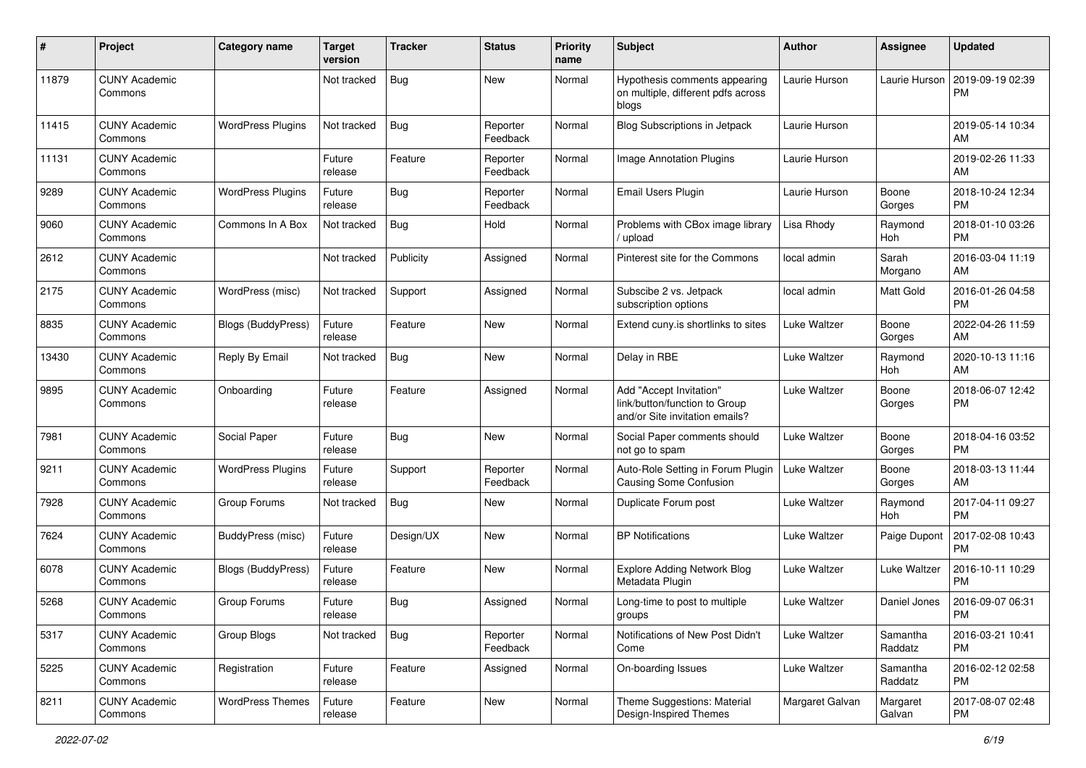| #     | Project                         | <b>Category name</b>      | Target<br>version | <b>Tracker</b> | <b>Status</b>        | Priority<br>name | <b>Subject</b>                                                                             | Author          | <b>Assignee</b>     | <b>Updated</b>                |
|-------|---------------------------------|---------------------------|-------------------|----------------|----------------------|------------------|--------------------------------------------------------------------------------------------|-----------------|---------------------|-------------------------------|
| 11879 | <b>CUNY Academic</b><br>Commons |                           | Not tracked       | Bug            | <b>New</b>           | Normal           | Hypothesis comments appearing<br>on multiple, different pdfs across<br>blogs               | Laurie Hurson   | Laurie Hurson       | 2019-09-19 02:39<br><b>PM</b> |
| 11415 | <b>CUNY Academic</b><br>Commons | <b>WordPress Plugins</b>  | Not tracked       | <b>Bug</b>     | Reporter<br>Feedback | Normal           | Blog Subscriptions in Jetpack                                                              | Laurie Hurson   |                     | 2019-05-14 10:34<br>AM        |
| 11131 | <b>CUNY Academic</b><br>Commons |                           | Future<br>release | Feature        | Reporter<br>Feedback | Normal           | Image Annotation Plugins                                                                   | Laurie Hurson   |                     | 2019-02-26 11:33<br>AM        |
| 9289  | <b>CUNY Academic</b><br>Commons | <b>WordPress Plugins</b>  | Future<br>release | Bug            | Reporter<br>Feedback | Normal           | <b>Email Users Plugin</b>                                                                  | Laurie Hurson   | Boone<br>Gorges     | 2018-10-24 12:34<br><b>PM</b> |
| 9060  | <b>CUNY Academic</b><br>Commons | Commons In A Box          | Not tracked       | Bug            | Hold                 | Normal           | Problems with CBox image library<br>upload                                                 | Lisa Rhody      | Raymond<br>Hoh      | 2018-01-10 03:26<br><b>PM</b> |
| 2612  | <b>CUNY Academic</b><br>Commons |                           | Not tracked       | Publicity      | Assigned             | Normal           | Pinterest site for the Commons                                                             | local admin     | Sarah<br>Morgano    | 2016-03-04 11:19<br>AM        |
| 2175  | <b>CUNY Academic</b><br>Commons | WordPress (misc)          | Not tracked       | Support        | Assigned             | Normal           | Subscibe 2 vs. Jetpack<br>subscription options                                             | local admin     | Matt Gold           | 2016-01-26 04:58<br><b>PM</b> |
| 8835  | <b>CUNY Academic</b><br>Commons | Blogs (BuddyPress)        | Future<br>release | Feature        | New                  | Normal           | Extend cuny is shortlinks to sites                                                         | Luke Waltzer    | Boone<br>Gorges     | 2022-04-26 11:59<br>AM        |
| 13430 | <b>CUNY Academic</b><br>Commons | Reply By Email            | Not tracked       | Bug            | <b>New</b>           | Normal           | Delay in RBE                                                                               | Luke Waltzer    | Raymond<br>Hoh      | 2020-10-13 11:16<br>AM        |
| 9895  | <b>CUNY Academic</b><br>Commons | Onboarding                | Future<br>release | Feature        | Assigned             | Normal           | Add "Accept Invitation"<br>link/button/function to Group<br>and/or Site invitation emails? | Luke Waltzer    | Boone<br>Gorges     | 2018-06-07 12:42<br><b>PM</b> |
| 7981  | <b>CUNY Academic</b><br>Commons | Social Paper              | Future<br>release | Bug            | <b>New</b>           | Normal           | Social Paper comments should<br>not go to spam                                             | Luke Waltzer    | Boone<br>Gorges     | 2018-04-16 03:52<br><b>PM</b> |
| 9211  | <b>CUNY Academic</b><br>Commons | <b>WordPress Plugins</b>  | Future<br>release | Support        | Reporter<br>Feedback | Normal           | Auto-Role Setting in Forum Plugin<br><b>Causing Some Confusion</b>                         | Luke Waltzer    | Boone<br>Gorges     | 2018-03-13 11:44<br>AM        |
| 7928  | <b>CUNY Academic</b><br>Commons | Group Forums              | Not tracked       | Bug            | New                  | Normal           | Duplicate Forum post                                                                       | Luke Waltzer    | Raymond<br>Hoh      | 2017-04-11 09:27<br><b>PM</b> |
| 7624  | <b>CUNY Academic</b><br>Commons | <b>BuddyPress</b> (misc)  | Future<br>release | Design/UX      | <b>New</b>           | Normal           | <b>BP Notifications</b>                                                                    | Luke Waltzer    | Paige Dupont        | 2017-02-08 10:43<br><b>PM</b> |
| 6078  | <b>CUNY Academic</b><br>Commons | <b>Blogs (BuddyPress)</b> | Future<br>release | Feature        | New                  | Normal           | <b>Explore Adding Network Blog</b><br>Metadata Plugin                                      | Luke Waltzer    | Luke Waltzer        | 2016-10-11 10:29<br><b>PM</b> |
| 5268  | <b>CUNY Academic</b><br>Commons | Group Forums              | Future<br>release | Bug            | Assigned             | Normal           | Long-time to post to multiple<br>groups                                                    | Luke Waltzer    | Daniel Jones        | 2016-09-07 06:31<br><b>PM</b> |
| 5317  | <b>CUNY Academic</b><br>Commons | Group Blogs               | Not tracked       | <b>Bug</b>     | Reporter<br>Feedback | Normal           | Notifications of New Post Didn't<br>Come                                                   | Luke Waltzer    | Samantha<br>Raddatz | 2016-03-21 10:41<br>PM        |
| 5225  | <b>CUNY Academic</b><br>Commons | Registration              | Future<br>release | Feature        | Assigned             | Normal           | On-boarding Issues                                                                         | Luke Waltzer    | Samantha<br>Raddatz | 2016-02-12 02:58<br><b>PM</b> |
| 8211  | <b>CUNY Academic</b><br>Commons | <b>WordPress Themes</b>   | Future<br>release | Feature        | New                  | Normal           | Theme Suggestions: Material<br>Design-Inspired Themes                                      | Margaret Galvan | Margaret<br>Galvan  | 2017-08-07 02:48<br><b>PM</b> |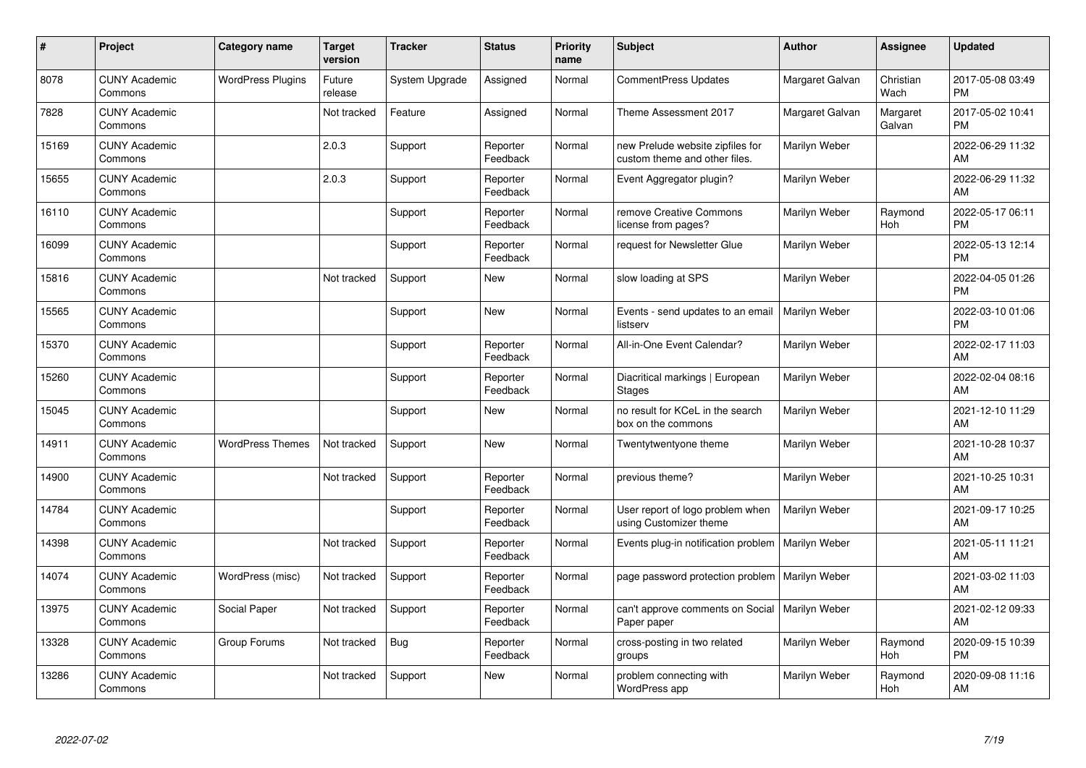| #     | Project                         | Category name            | <b>Target</b><br>version | <b>Tracker</b> | <b>Status</b>        | Priority<br>name | <b>Subject</b>                                                    | <b>Author</b>   | <b>Assignee</b>    | <b>Updated</b>                |
|-------|---------------------------------|--------------------------|--------------------------|----------------|----------------------|------------------|-------------------------------------------------------------------|-----------------|--------------------|-------------------------------|
| 8078  | <b>CUNY Academic</b><br>Commons | <b>WordPress Plugins</b> | Future<br>release        | System Upgrade | Assigned             | Normal           | <b>CommentPress Updates</b>                                       | Margaret Galvan | Christian<br>Wach  | 2017-05-08 03:49<br><b>PM</b> |
| 7828  | <b>CUNY Academic</b><br>Commons |                          | Not tracked              | Feature        | Assigned             | Normal           | Theme Assessment 2017                                             | Margaret Galvan | Margaret<br>Galvan | 2017-05-02 10:41<br><b>PM</b> |
| 15169 | <b>CUNY Academic</b><br>Commons |                          | 2.0.3                    | Support        | Reporter<br>Feedback | Normal           | new Prelude website zipfiles for<br>custom theme and other files. | Marilyn Weber   |                    | 2022-06-29 11:32<br>AM        |
| 15655 | <b>CUNY Academic</b><br>Commons |                          | 2.0.3                    | Support        | Reporter<br>Feedback | Normal           | Event Aggregator plugin?                                          | Marilyn Weber   |                    | 2022-06-29 11:32<br>AM        |
| 16110 | <b>CUNY Academic</b><br>Commons |                          |                          | Support        | Reporter<br>Feedback | Normal           | remove Creative Commons<br>license from pages?                    | Marilyn Weber   | Raymond<br>Hoh     | 2022-05-17 06:11<br><b>PM</b> |
| 16099 | <b>CUNY Academic</b><br>Commons |                          |                          | Support        | Reporter<br>Feedback | Normal           | request for Newsletter Glue                                       | Marilyn Weber   |                    | 2022-05-13 12:14<br><b>PM</b> |
| 15816 | <b>CUNY Academic</b><br>Commons |                          | Not tracked              | Support        | <b>New</b>           | Normal           | slow loading at SPS                                               | Marilyn Weber   |                    | 2022-04-05 01:26<br><b>PM</b> |
| 15565 | <b>CUNY Academic</b><br>Commons |                          |                          | Support        | <b>New</b>           | Normal           | Events - send updates to an email<br>listserv                     | Marilyn Weber   |                    | 2022-03-10 01:06<br><b>PM</b> |
| 15370 | <b>CUNY Academic</b><br>Commons |                          |                          | Support        | Reporter<br>Feedback | Normal           | All-in-One Event Calendar?                                        | Marilyn Weber   |                    | 2022-02-17 11:03<br>AM        |
| 15260 | <b>CUNY Academic</b><br>Commons |                          |                          | Support        | Reporter<br>Feedback | Normal           | Diacritical markings   European<br><b>Stages</b>                  | Marilyn Weber   |                    | 2022-02-04 08:16<br>AM        |
| 15045 | <b>CUNY Academic</b><br>Commons |                          |                          | Support        | <b>New</b>           | Normal           | no result for KCeL in the search<br>box on the commons            | Marilyn Weber   |                    | 2021-12-10 11:29<br>AM        |
| 14911 | <b>CUNY Academic</b><br>Commons | <b>WordPress Themes</b>  | Not tracked              | Support        | <b>New</b>           | Normal           | Twentytwentyone theme                                             | Marilyn Weber   |                    | 2021-10-28 10:37<br>AM        |
| 14900 | <b>CUNY Academic</b><br>Commons |                          | Not tracked              | Support        | Reporter<br>Feedback | Normal           | previous theme?                                                   | Marilyn Weber   |                    | 2021-10-25 10:31<br>AM        |
| 14784 | <b>CUNY Academic</b><br>Commons |                          |                          | Support        | Reporter<br>Feedback | Normal           | User report of logo problem when<br>using Customizer theme        | Marilyn Weber   |                    | 2021-09-17 10:25<br>AM        |
| 14398 | <b>CUNY Academic</b><br>Commons |                          | Not tracked              | Support        | Reporter<br>Feedback | Normal           | Events plug-in notification problem                               | Marilyn Weber   |                    | 2021-05-11 11:21<br>AM        |
| 14074 | <b>CUNY Academic</b><br>Commons | WordPress (misc)         | Not tracked              | Support        | Reporter<br>Feedback | Normal           | page password protection problem                                  | Marilyn Weber   |                    | 2021-03-02 11:03<br>AM        |
| 13975 | <b>CUNY Academic</b><br>Commons | Social Paper             | Not tracked              | Support        | Reporter<br>Feedback | Normal           | can't approve comments on Social   Marilyn Weber<br>Paper paper   |                 |                    | 2021-02-12 09:33<br>AM        |
| 13328 | <b>CUNY Academic</b><br>Commons | Group Forums             | Not tracked              | Bug            | Reporter<br>Feedback | Normal           | cross-posting in two related<br>groups                            | Marilyn Weber   | Raymond<br>Hoh     | 2020-09-15 10:39<br><b>PM</b> |
| 13286 | <b>CUNY Academic</b><br>Commons |                          | Not tracked              | Support        | <b>New</b>           | Normal           | problem connecting with<br>WordPress app                          | Marilyn Weber   | Raymond<br>Hoh     | 2020-09-08 11:16<br>AM        |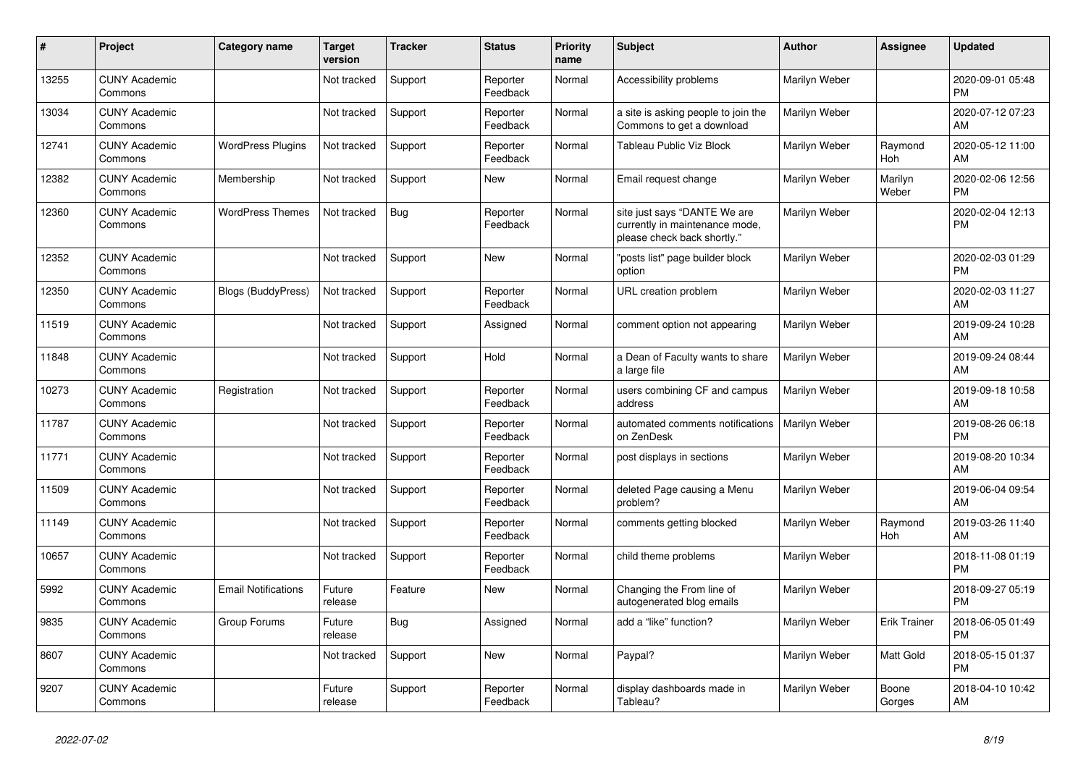| #     | Project                         | <b>Category name</b>       | <b>Target</b><br>version | <b>Tracker</b> | <b>Status</b>        | <b>Priority</b><br>name | <b>Subject</b>                                                                                | <b>Author</b> | Assignee            | <b>Updated</b>                |
|-------|---------------------------------|----------------------------|--------------------------|----------------|----------------------|-------------------------|-----------------------------------------------------------------------------------------------|---------------|---------------------|-------------------------------|
| 13255 | <b>CUNY Academic</b><br>Commons |                            | Not tracked              | Support        | Reporter<br>Feedback | Normal                  | Accessibility problems                                                                        | Marilyn Weber |                     | 2020-09-01 05:48<br><b>PM</b> |
| 13034 | <b>CUNY Academic</b><br>Commons |                            | Not tracked              | Support        | Reporter<br>Feedback | Normal                  | a site is asking people to join the<br>Commons to get a download                              | Marilyn Weber |                     | 2020-07-12 07:23<br>AM        |
| 12741 | <b>CUNY Academic</b><br>Commons | <b>WordPress Plugins</b>   | Not tracked              | Support        | Reporter<br>Feedback | Normal                  | Tableau Public Viz Block                                                                      | Marilyn Weber | Raymond<br>Hoh      | 2020-05-12 11:00<br>AM        |
| 12382 | <b>CUNY Academic</b><br>Commons | Membership                 | Not tracked              | Support        | <b>New</b>           | Normal                  | Email request change                                                                          | Marilyn Weber | Marilyn<br>Weber    | 2020-02-06 12:56<br><b>PM</b> |
| 12360 | <b>CUNY Academic</b><br>Commons | <b>WordPress Themes</b>    | Not tracked              | Bug            | Reporter<br>Feedback | Normal                  | site just says "DANTE We are<br>currently in maintenance mode,<br>please check back shortly." | Marilyn Weber |                     | 2020-02-04 12:13<br><b>PM</b> |
| 12352 | <b>CUNY Academic</b><br>Commons |                            | Not tracked              | Support        | <b>New</b>           | Normal                  | "posts list" page builder block<br>option                                                     | Marilyn Weber |                     | 2020-02-03 01:29<br><b>PM</b> |
| 12350 | <b>CUNY Academic</b><br>Commons | <b>Blogs (BuddyPress)</b>  | Not tracked              | Support        | Reporter<br>Feedback | Normal                  | URL creation problem                                                                          | Marilyn Weber |                     | 2020-02-03 11:27<br>AM        |
| 11519 | <b>CUNY Academic</b><br>Commons |                            | Not tracked              | Support        | Assigned             | Normal                  | comment option not appearing                                                                  | Marilyn Weber |                     | 2019-09-24 10:28<br>AM        |
| 11848 | <b>CUNY Academic</b><br>Commons |                            | Not tracked              | Support        | Hold                 | Normal                  | a Dean of Faculty wants to share<br>a large file                                              | Marilyn Weber |                     | 2019-09-24 08:44<br>AM        |
| 10273 | <b>CUNY Academic</b><br>Commons | Registration               | Not tracked              | Support        | Reporter<br>Feedback | Normal                  | users combining CF and campus<br>address                                                      | Marilyn Weber |                     | 2019-09-18 10:58<br>AM        |
| 11787 | <b>CUNY Academic</b><br>Commons |                            | Not tracked              | Support        | Reporter<br>Feedback | Normal                  | automated comments notifications<br>on ZenDesk                                                | Marilyn Weber |                     | 2019-08-26 06:18<br><b>PM</b> |
| 11771 | <b>CUNY Academic</b><br>Commons |                            | Not tracked              | Support        | Reporter<br>Feedback | Normal                  | post displays in sections                                                                     | Marilyn Weber |                     | 2019-08-20 10:34<br>AM        |
| 11509 | <b>CUNY Academic</b><br>Commons |                            | Not tracked              | Support        | Reporter<br>Feedback | Normal                  | deleted Page causing a Menu<br>problem?                                                       | Marilyn Weber |                     | 2019-06-04 09:54<br>AM        |
| 11149 | <b>CUNY Academic</b><br>Commons |                            | Not tracked              | Support        | Reporter<br>Feedback | Normal                  | comments getting blocked                                                                      | Marilyn Weber | Raymond<br>Hoh      | 2019-03-26 11:40<br>AM        |
| 10657 | <b>CUNY Academic</b><br>Commons |                            | Not tracked              | Support        | Reporter<br>Feedback | Normal                  | child theme problems                                                                          | Marilyn Weber |                     | 2018-11-08 01:19<br><b>PM</b> |
| 5992  | <b>CUNY Academic</b><br>Commons | <b>Email Notifications</b> | Future<br>release        | Feature        | <b>New</b>           | Normal                  | Changing the From line of<br>autogenerated blog emails                                        | Marilyn Weber |                     | 2018-09-27 05:19<br><b>PM</b> |
| 9835  | <b>CUNY Academic</b><br>Commons | Group Forums               | Future<br>release        | Bug            | Assigned             | Normal                  | add a "like" function?                                                                        | Marilyn Weber | <b>Erik Trainer</b> | 2018-06-05 01:49<br><b>PM</b> |
| 8607  | <b>CUNY Academic</b><br>Commons |                            | Not tracked              | Support        | <b>New</b>           | Normal                  | Paypal?                                                                                       | Marilyn Weber | Matt Gold           | 2018-05-15 01:37<br><b>PM</b> |
| 9207  | <b>CUNY Academic</b><br>Commons |                            | Future<br>release        | Support        | Reporter<br>Feedback | Normal                  | display dashboards made in<br>Tableau?                                                        | Marilyn Weber | Boone<br>Gorges     | 2018-04-10 10:42<br>AM        |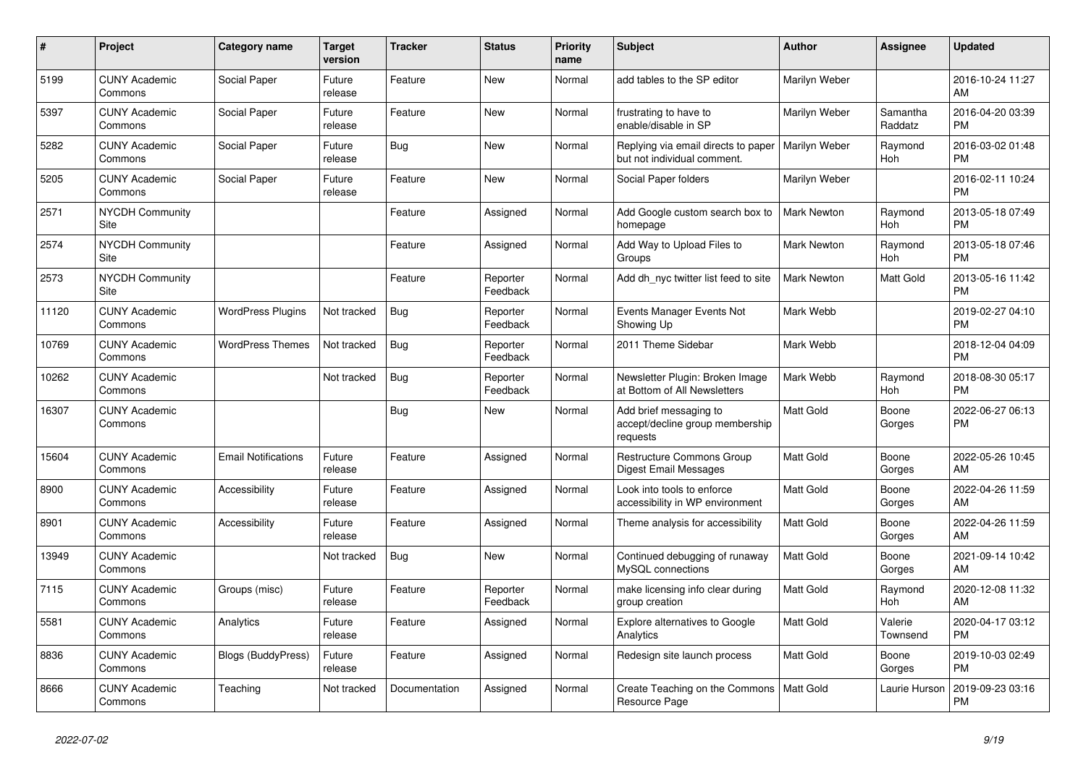| #     | <b>Project</b>                  | Category name              | <b>Target</b><br>version | <b>Tracker</b> | <b>Status</b>        | <b>Priority</b><br>name | <b>Subject</b>                                                        | <b>Author</b>      | Assignee            | <b>Updated</b>                |
|-------|---------------------------------|----------------------------|--------------------------|----------------|----------------------|-------------------------|-----------------------------------------------------------------------|--------------------|---------------------|-------------------------------|
| 5199  | <b>CUNY Academic</b><br>Commons | Social Paper               | Future<br>release        | Feature        | <b>New</b>           | Normal                  | add tables to the SP editor                                           | Marilyn Weber      |                     | 2016-10-24 11:27<br>AM        |
| 5397  | <b>CUNY Academic</b><br>Commons | Social Paper               | Future<br>release        | Feature        | New                  | Normal                  | frustrating to have to<br>enable/disable in SP                        | Marilyn Weber      | Samantha<br>Raddatz | 2016-04-20 03:39<br><b>PM</b> |
| 5282  | <b>CUNY Academic</b><br>Commons | Social Paper               | Future<br>release        | Bug            | <b>New</b>           | Normal                  | Replying via email directs to paper<br>but not individual comment.    | Marilyn Weber      | Raymond<br>Hoh      | 2016-03-02 01:48<br><b>PM</b> |
| 5205  | <b>CUNY Academic</b><br>Commons | Social Paper               | Future<br>release        | Feature        | <b>New</b>           | Normal                  | Social Paper folders                                                  | Marilyn Weber      |                     | 2016-02-11 10:24<br><b>PM</b> |
| 2571  | <b>NYCDH Community</b><br>Site  |                            |                          | Feature        | Assigned             | Normal                  | Add Google custom search box to<br>homepage                           | <b>Mark Newton</b> | Raymond<br>Hoh      | 2013-05-18 07:49<br><b>PM</b> |
| 2574  | <b>NYCDH Community</b><br>Site  |                            |                          | Feature        | Assigned             | Normal                  | Add Way to Upload Files to<br>Groups                                  | <b>Mark Newton</b> | Raymond<br>Hoh      | 2013-05-18 07:46<br><b>PM</b> |
| 2573  | <b>NYCDH Community</b><br>Site  |                            |                          | Feature        | Reporter<br>Feedback | Normal                  | Add dh nyc twitter list feed to site                                  | <b>Mark Newton</b> | Matt Gold           | 2013-05-16 11:42<br><b>PM</b> |
| 11120 | <b>CUNY Academic</b><br>Commons | <b>WordPress Plugins</b>   | Not tracked              | Bug            | Reporter<br>Feedback | Normal                  | Events Manager Events Not<br>Showing Up                               | Mark Webb          |                     | 2019-02-27 04:10<br><b>PM</b> |
| 10769 | <b>CUNY Academic</b><br>Commons | <b>WordPress Themes</b>    | Not tracked              | Bug            | Reporter<br>Feedback | Normal                  | 2011 Theme Sidebar                                                    | Mark Webb          |                     | 2018-12-04 04:09<br><b>PM</b> |
| 10262 | <b>CUNY Academic</b><br>Commons |                            | Not tracked              | Bug            | Reporter<br>Feedback | Normal                  | Newsletter Plugin: Broken Image<br>at Bottom of All Newsletters       | Mark Webb          | Raymond<br>Hoh      | 2018-08-30 05:17<br><b>PM</b> |
| 16307 | <b>CUNY Academic</b><br>Commons |                            |                          | Bug            | <b>New</b>           | Normal                  | Add brief messaging to<br>accept/decline group membership<br>requests | <b>Matt Gold</b>   | Boone<br>Gorges     | 2022-06-27 06:13<br><b>PM</b> |
| 15604 | <b>CUNY Academic</b><br>Commons | <b>Email Notifications</b> | Future<br>release        | Feature        | Assigned             | Normal                  | Restructure Commons Group<br>Digest Email Messages                    | <b>Matt Gold</b>   | Boone<br>Gorges     | 2022-05-26 10:45<br>AM        |
| 8900  | <b>CUNY Academic</b><br>Commons | Accessibility              | Future<br>release        | Feature        | Assigned             | Normal                  | Look into tools to enforce<br>accessibility in WP environment         | <b>Matt Gold</b>   | Boone<br>Gorges     | 2022-04-26 11:59<br>AM        |
| 8901  | <b>CUNY Academic</b><br>Commons | Accessibility              | Future<br>release        | Feature        | Assigned             | Normal                  | Theme analysis for accessibility                                      | <b>Matt Gold</b>   | Boone<br>Gorges     | 2022-04-26 11:59<br>AM        |
| 13949 | <b>CUNY Academic</b><br>Commons |                            | Not tracked              | Bug            | New                  | Normal                  | Continued debugging of runaway<br>MySQL connections                   | <b>Matt Gold</b>   | Boone<br>Gorges     | 2021-09-14 10:42<br>AM        |
| 7115  | <b>CUNY Academic</b><br>Commons | Groups (misc)              | Future<br>release        | Feature        | Reporter<br>Feedback | Normal                  | make licensing info clear during<br>group creation                    | <b>Matt Gold</b>   | Raymond<br>Hoh      | 2020-12-08 11:32<br>AM        |
| 5581  | <b>CUNY Academic</b><br>Commons | Analytics                  | Future<br>release        | Feature        | Assigned             | Normal                  | <b>Explore alternatives to Google</b><br>Analytics                    | <b>Matt Gold</b>   | Valerie<br>Townsend | 2020-04-17 03:12<br><b>PM</b> |
| 8836  | <b>CUNY Academic</b><br>Commons | <b>Blogs (BuddyPress)</b>  | Future<br>release        | Feature        | Assigned             | Normal                  | Redesign site launch process                                          | <b>Matt Gold</b>   | Boone<br>Gorges     | 2019-10-03 02:49<br><b>PM</b> |
| 8666  | <b>CUNY Academic</b><br>Commons | Teaching                   | Not tracked              | Documentation  | Assigned             | Normal                  | Create Teaching on the Commons<br>Resource Page                       | Matt Gold          | Laurie Hurson       | 2019-09-23 03:16<br><b>PM</b> |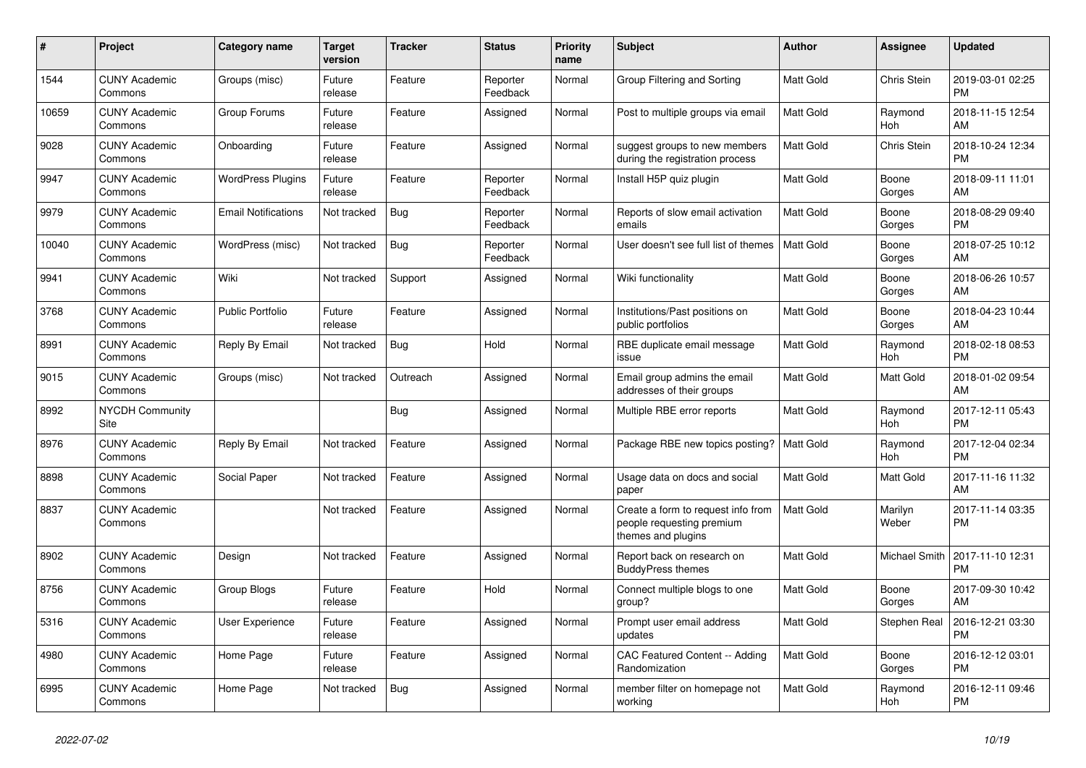| #     | Project                         | <b>Category name</b>       | <b>Target</b><br>version | <b>Tracker</b> | <b>Status</b>        | <b>Priority</b><br>name | <b>Subject</b>                                                                        | <b>Author</b>    | Assignee           | <b>Updated</b>                |
|-------|---------------------------------|----------------------------|--------------------------|----------------|----------------------|-------------------------|---------------------------------------------------------------------------------------|------------------|--------------------|-------------------------------|
| 1544  | <b>CUNY Academic</b><br>Commons | Groups (misc)              | Future<br>release        | Feature        | Reporter<br>Feedback | Normal                  | Group Filtering and Sorting                                                           | <b>Matt Gold</b> | Chris Stein        | 2019-03-01 02:25<br><b>PM</b> |
| 10659 | <b>CUNY Academic</b><br>Commons | Group Forums               | Future<br>release        | Feature        | Assigned             | Normal                  | Post to multiple groups via email                                                     | <b>Matt Gold</b> | Raymond<br>Hoh     | 2018-11-15 12:54<br>AM        |
| 9028  | <b>CUNY Academic</b><br>Commons | Onboarding                 | Future<br>release        | Feature        | Assigned             | Normal                  | suggest groups to new members<br>during the registration process                      | Matt Gold        | <b>Chris Stein</b> | 2018-10-24 12:34<br><b>PM</b> |
| 9947  | <b>CUNY Academic</b><br>Commons | <b>WordPress Plugins</b>   | Future<br>release        | Feature        | Reporter<br>Feedback | Normal                  | Install H5P quiz plugin                                                               | <b>Matt Gold</b> | Boone<br>Gorges    | 2018-09-11 11:01<br>AM        |
| 9979  | <b>CUNY Academic</b><br>Commons | <b>Email Notifications</b> | Not tracked              | Bug            | Reporter<br>Feedback | Normal                  | Reports of slow email activation<br>emails                                            | <b>Matt Gold</b> | Boone<br>Gorges    | 2018-08-29 09:40<br><b>PM</b> |
| 10040 | <b>CUNY Academic</b><br>Commons | WordPress (misc)           | Not tracked              | Bug            | Reporter<br>Feedback | Normal                  | User doesn't see full list of themes                                                  | <b>Matt Gold</b> | Boone<br>Gorges    | 2018-07-25 10:12<br>AM        |
| 9941  | <b>CUNY Academic</b><br>Commons | Wiki                       | Not tracked              | Support        | Assigned             | Normal                  | Wiki functionality                                                                    | <b>Matt Gold</b> | Boone<br>Gorges    | 2018-06-26 10:57<br>AM        |
| 3768  | <b>CUNY Academic</b><br>Commons | <b>Public Portfolio</b>    | Future<br>release        | Feature        | Assigned             | Normal                  | Institutions/Past positions on<br>public portfolios                                   | <b>Matt Gold</b> | Boone<br>Gorges    | 2018-04-23 10:44<br>AM        |
| 8991  | <b>CUNY Academic</b><br>Commons | Reply By Email             | Not tracked              | Bug            | Hold                 | Normal                  | RBE duplicate email message<br>issue                                                  | Matt Gold        | Raymond<br>Hoh     | 2018-02-18 08:53<br><b>PM</b> |
| 9015  | <b>CUNY Academic</b><br>Commons | Groups (misc)              | Not tracked              | Outreach       | Assigned             | Normal                  | Email group admins the email<br>addresses of their groups                             | Matt Gold        | Matt Gold          | 2018-01-02 09:54<br>AM        |
| 8992  | <b>NYCDH Community</b><br>Site  |                            |                          | Bug            | Assigned             | Normal                  | Multiple RBE error reports                                                            | <b>Matt Gold</b> | Raymond<br>Hoh     | 2017-12-11 05:43<br><b>PM</b> |
| 8976  | <b>CUNY Academic</b><br>Commons | Reply By Email             | Not tracked              | Feature        | Assigned             | Normal                  | Package RBE new topics posting?                                                       | <b>Matt Gold</b> | Raymond<br>Hoh     | 2017-12-04 02:34<br><b>PM</b> |
| 8898  | <b>CUNY Academic</b><br>Commons | Social Paper               | Not tracked              | Feature        | Assigned             | Normal                  | Usage data on docs and social<br>paper                                                | <b>Matt Gold</b> | Matt Gold          | 2017-11-16 11:32<br>AM        |
| 8837  | <b>CUNY Academic</b><br>Commons |                            | Not tracked              | Feature        | Assigned             | Normal                  | Create a form to request info from<br>people requesting premium<br>themes and plugins | <b>Matt Gold</b> | Marilyn<br>Weber   | 2017-11-14 03:35<br><b>PM</b> |
| 8902  | <b>CUNY Academic</b><br>Commons | Design                     | Not tracked              | Feature        | Assigned             | Normal                  | Report back on research on<br><b>BuddyPress themes</b>                                | Matt Gold        | Michael Smith      | 2017-11-10 12:31<br><b>PM</b> |
| 8756  | <b>CUNY Academic</b><br>Commons | <b>Group Blogs</b>         | Future<br>release        | Feature        | Hold                 | Normal                  | Connect multiple blogs to one<br>group?                                               | <b>Matt Gold</b> | Boone<br>Gorges    | 2017-09-30 10:42<br>AM        |
| 5316  | <b>CUNY Academic</b><br>Commons | User Experience            | Future<br>release        | Feature        | Assigned             | Normal                  | Prompt user email address<br>updates                                                  | <b>Matt Gold</b> | Stephen Real       | 2016-12-21 03:30<br><b>PM</b> |
| 4980  | <b>CUNY Academic</b><br>Commons | Home Page                  | Future<br>release        | Feature        | Assigned             | Normal                  | CAC Featured Content -- Adding<br>Randomization                                       | Matt Gold        | Boone<br>Gorges    | 2016-12-12 03:01<br><b>PM</b> |
| 6995  | <b>CUNY Academic</b><br>Commons | Home Page                  | Not tracked              | Bug            | Assigned             | Normal                  | member filter on homepage not<br>working                                              | <b>Matt Gold</b> | Raymond<br>Hoh     | 2016-12-11 09:46<br><b>PM</b> |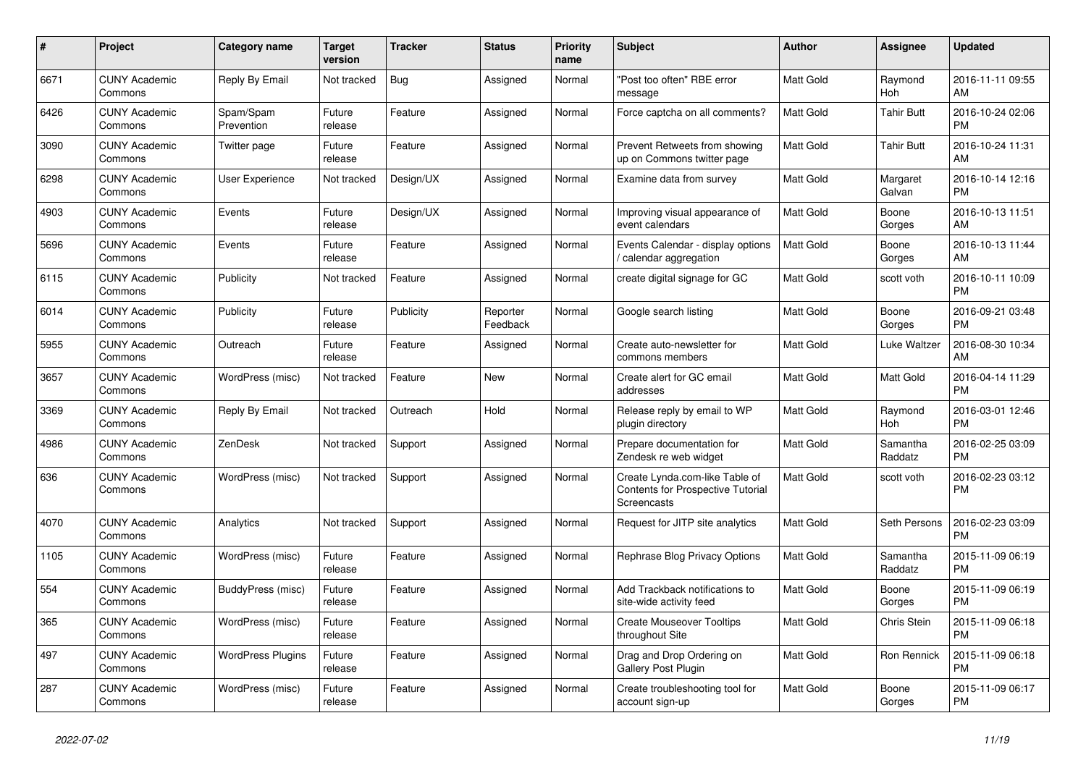| $\pmb{\#}$ | <b>Project</b>                  | <b>Category name</b>     | <b>Target</b><br>version | <b>Tracker</b> | <b>Status</b>        | <b>Priority</b><br>name | <b>Subject</b>                                                                     | <b>Author</b>    | Assignee            | <b>Updated</b>                |
|------------|---------------------------------|--------------------------|--------------------------|----------------|----------------------|-------------------------|------------------------------------------------------------------------------------|------------------|---------------------|-------------------------------|
| 6671       | <b>CUNY Academic</b><br>Commons | Reply By Email           | Not tracked              | Bug            | Assigned             | Normal                  | "Post too often" RBE error<br>message                                              | <b>Matt Gold</b> | Raymond<br>Hoh      | 2016-11-11 09:55<br>AM        |
| 6426       | <b>CUNY Academic</b><br>Commons | Spam/Spam<br>Prevention  | Future<br>release        | Feature        | Assigned             | Normal                  | Force captcha on all comments?                                                     | <b>Matt Gold</b> | <b>Tahir Butt</b>   | 2016-10-24 02:06<br><b>PM</b> |
| 3090       | <b>CUNY Academic</b><br>Commons | Twitter page             | Future<br>release        | Feature        | Assigned             | Normal                  | Prevent Retweets from showing<br>up on Commons twitter page                        | Matt Gold        | Tahir Butt          | 2016-10-24 11:31<br>AM        |
| 6298       | <b>CUNY Academic</b><br>Commons | <b>User Experience</b>   | Not tracked              | Design/UX      | Assigned             | Normal                  | Examine data from survey                                                           | Matt Gold        | Margaret<br>Galvan  | 2016-10-14 12:16<br><b>PM</b> |
| 4903       | <b>CUNY Academic</b><br>Commons | Events                   | Future<br>release        | Design/UX      | Assigned             | Normal                  | Improving visual appearance of<br>event calendars                                  | Matt Gold        | Boone<br>Gorges     | 2016-10-13 11:51<br>AM        |
| 5696       | <b>CUNY Academic</b><br>Commons | Events                   | Future<br>release        | Feature        | Assigned             | Normal                  | Events Calendar - display options<br>calendar aggregation                          | Matt Gold        | Boone<br>Gorges     | 2016-10-13 11:44<br>AM        |
| 6115       | <b>CUNY Academic</b><br>Commons | Publicity                | Not tracked              | Feature        | Assigned             | Normal                  | create digital signage for GC                                                      | <b>Matt Gold</b> | scott voth          | 2016-10-11 10:09<br><b>PM</b> |
| 6014       | <b>CUNY Academic</b><br>Commons | Publicity                | Future<br>release        | Publicity      | Reporter<br>Feedback | Normal                  | Google search listing                                                              | <b>Matt Gold</b> | Boone<br>Gorges     | 2016-09-21 03:48<br><b>PM</b> |
| 5955       | <b>CUNY Academic</b><br>Commons | Outreach                 | Future<br>release        | Feature        | Assigned             | Normal                  | Create auto-newsletter for<br>commons members                                      | Matt Gold        | Luke Waltzer        | 2016-08-30 10:34<br>AM        |
| 3657       | <b>CUNY Academic</b><br>Commons | WordPress (misc)         | Not tracked              | Feature        | New                  | Normal                  | Create alert for GC email<br>addresses                                             | Matt Gold        | Matt Gold           | 2016-04-14 11:29<br><b>PM</b> |
| 3369       | <b>CUNY Academic</b><br>Commons | Reply By Email           | Not tracked              | Outreach       | Hold                 | Normal                  | Release reply by email to WP<br>plugin directory                                   | <b>Matt Gold</b> | Raymond<br>Hoh      | 2016-03-01 12:46<br><b>PM</b> |
| 4986       | <b>CUNY Academic</b><br>Commons | <b>ZenDesk</b>           | Not tracked              | Support        | Assigned             | Normal                  | Prepare documentation for<br>Zendesk re web widget                                 | Matt Gold        | Samantha<br>Raddatz | 2016-02-25 03:09<br><b>PM</b> |
| 636        | <b>CUNY Academic</b><br>Commons | WordPress (misc)         | Not tracked              | Support        | Assigned             | Normal                  | Create Lynda.com-like Table of<br>Contents for Prospective Tutorial<br>Screencasts | Matt Gold        | scott voth          | 2016-02-23 03:12<br><b>PM</b> |
| 4070       | <b>CUNY Academic</b><br>Commons | Analytics                | Not tracked              | Support        | Assigned             | Normal                  | Request for JITP site analytics                                                    | Matt Gold        | Seth Persons        | 2016-02-23 03:09<br><b>PM</b> |
| 1105       | <b>CUNY Academic</b><br>Commons | WordPress (misc)         | Future<br>release        | Feature        | Assigned             | Normal                  | Rephrase Blog Privacy Options                                                      | Matt Gold        | Samantha<br>Raddatz | 2015-11-09 06:19<br><b>PM</b> |
| 554        | <b>CUNY Academic</b><br>Commons | BuddyPress (misc)        | Future<br>release        | Feature        | Assigned             | Normal                  | Add Trackback notifications to<br>site-wide activity feed                          | Matt Gold        | Boone<br>Gorges     | 2015-11-09 06:19<br><b>PM</b> |
| 365        | <b>CUNY Academic</b><br>Commons | WordPress (misc)         | Future<br>release        | Feature        | Assigned             | Normal                  | <b>Create Mouseover Tooltips</b><br>throughout Site                                | <b>Matt Gold</b> | Chris Stein         | 2015-11-09 06:18<br><b>PM</b> |
| 497        | <b>CUNY Academic</b><br>Commons | <b>WordPress Plugins</b> | Future<br>release        | Feature        | Assigned             | Normal                  | Drag and Drop Ordering on<br>Gallery Post Plugin                                   | <b>Matt Gold</b> | Ron Rennick         | 2015-11-09 06:18<br><b>PM</b> |
| 287        | <b>CUNY Academic</b><br>Commons | WordPress (misc)         | Future<br>release        | Feature        | Assigned             | Normal                  | Create troubleshooting tool for<br>account sign-up                                 | Matt Gold        | Boone<br>Gorges     | 2015-11-09 06:17<br><b>PM</b> |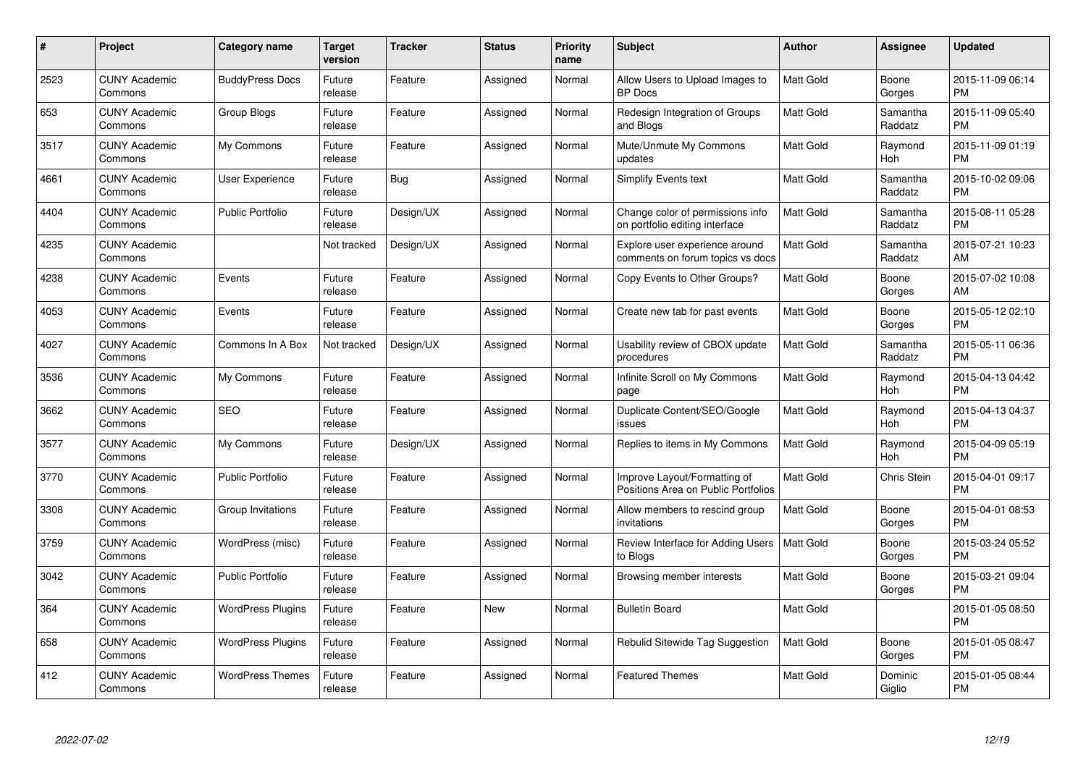| #    | <b>Project</b>                  | Category name            | Target<br>version | <b>Tracker</b> | <b>Status</b> | <b>Priority</b><br>name | <b>Subject</b>                                                      | <b>Author</b>    | Assignee            | <b>Updated</b>                |
|------|---------------------------------|--------------------------|-------------------|----------------|---------------|-------------------------|---------------------------------------------------------------------|------------------|---------------------|-------------------------------|
| 2523 | <b>CUNY Academic</b><br>Commons | <b>BuddyPress Docs</b>   | Future<br>release | Feature        | Assigned      | Normal                  | Allow Users to Upload Images to<br><b>BP</b> Docs                   | <b>Matt Gold</b> | Boone<br>Gorges     | 2015-11-09 06:14<br><b>PM</b> |
| 653  | <b>CUNY Academic</b><br>Commons | Group Blogs              | Future<br>release | Feature        | Assigned      | Normal                  | Redesign Integration of Groups<br>and Blogs                         | Matt Gold        | Samantha<br>Raddatz | 2015-11-09 05:40<br>PM.       |
| 3517 | <b>CUNY Academic</b><br>Commons | My Commons               | Future<br>release | Feature        | Assigned      | Normal                  | Mute/Unmute My Commons<br>updates                                   | Matt Gold        | Raymond<br>Hoh      | 2015-11-09 01:19<br><b>PM</b> |
| 4661 | <b>CUNY Academic</b><br>Commons | User Experience          | Future<br>release | <b>Bug</b>     | Assigned      | Normal                  | Simplify Events text                                                | <b>Matt Gold</b> | Samantha<br>Raddatz | 2015-10-02 09:06<br><b>PM</b> |
| 4404 | <b>CUNY Academic</b><br>Commons | <b>Public Portfolio</b>  | Future<br>release | Design/UX      | Assigned      | Normal                  | Change color of permissions info<br>on portfolio editing interface  | <b>Matt Gold</b> | Samantha<br>Raddatz | 2015-08-11 05:28<br><b>PM</b> |
| 4235 | <b>CUNY Academic</b><br>Commons |                          | Not tracked       | Design/UX      | Assigned      | Normal                  | Explore user experience around<br>comments on forum topics vs docs  | <b>Matt Gold</b> | Samantha<br>Raddatz | 2015-07-21 10:23<br>AM.       |
| 4238 | <b>CUNY Academic</b><br>Commons | Events                   | Future<br>release | Feature        | Assigned      | Normal                  | Copy Events to Other Groups?                                        | Matt Gold        | Boone<br>Gorges     | 2015-07-02 10:08<br>AM        |
| 4053 | <b>CUNY Academic</b><br>Commons | Events                   | Future<br>release | Feature        | Assigned      | Normal                  | Create new tab for past events                                      | Matt Gold        | Boone<br>Gorges     | 2015-05-12 02:10<br><b>PM</b> |
| 4027 | <b>CUNY Academic</b><br>Commons | Commons In A Box         | Not tracked       | Design/UX      | Assigned      | Normal                  | Usability review of CBOX update<br>procedures                       | Matt Gold        | Samantha<br>Raddatz | 2015-05-11 06:36<br><b>PM</b> |
| 3536 | <b>CUNY Academic</b><br>Commons | My Commons               | Future<br>release | Feature        | Assigned      | Normal                  | Infinite Scroll on My Commons<br>page                               | Matt Gold        | Raymond<br>Hoh      | 2015-04-13 04:42<br>PM        |
| 3662 | <b>CUNY Academic</b><br>Commons | <b>SEO</b>               | Future<br>release | Feature        | Assigned      | Normal                  | Duplicate Content/SEO/Google<br>issues                              | Matt Gold        | Raymond<br>Hoh      | 2015-04-13 04:37<br><b>PM</b> |
| 3577 | <b>CUNY Academic</b><br>Commons | My Commons               | Future<br>release | Design/UX      | Assigned      | Normal                  | Replies to items in My Commons                                      | Matt Gold        | Raymond<br>Hoh      | 2015-04-09 05:19<br><b>PM</b> |
| 3770 | <b>CUNY Academic</b><br>Commons | Public Portfolio         | Future<br>release | Feature        | Assigned      | Normal                  | Improve Layout/Formatting of<br>Positions Area on Public Portfolios | Matt Gold        | Chris Stein         | 2015-04-01 09:17<br><b>PM</b> |
| 3308 | <b>CUNY Academic</b><br>Commons | Group Invitations        | Future<br>release | Feature        | Assigned      | Normal                  | Allow members to rescind group<br>invitations                       | Matt Gold        | Boone<br>Gorges     | 2015-04-01 08:53<br><b>PM</b> |
| 3759 | <b>CUNY Academic</b><br>Commons | WordPress (misc)         | Future<br>release | Feature        | Assigned      | Normal                  | Review Interface for Adding Users<br>to Blogs                       | <b>Matt Gold</b> | Boone<br>Gorges     | 2015-03-24 05:52<br><b>PM</b> |
| 3042 | <b>CUNY Academic</b><br>Commons | <b>Public Portfolio</b>  | Future<br>release | Feature        | Assigned      | Normal                  | Browsing member interests                                           | Matt Gold        | Boone<br>Gorges     | 2015-03-21 09:04<br><b>PM</b> |
| 364  | <b>CUNY Academic</b><br>Commons | <b>WordPress Plugins</b> | Future<br>release | Feature        | New           | Normal                  | <b>Bulletin Board</b>                                               | <b>Matt Gold</b> |                     | 2015-01-05 08:50<br><b>PM</b> |
| 658  | <b>CUNY Academic</b><br>Commons | <b>WordPress Plugins</b> | Future<br>release | Feature        | Assigned      | Normal                  | Rebulid Sitewide Tag Suggestion                                     | <b>Matt Gold</b> | Boone<br>Gorges     | 2015-01-05 08:47<br><b>PM</b> |
| 412  | <b>CUNY Academic</b><br>Commons | <b>WordPress Themes</b>  | Future<br>release | Feature        | Assigned      | Normal                  | <b>Featured Themes</b>                                              | Matt Gold        | Dominic<br>Giglio   | 2015-01-05 08:44<br>PM        |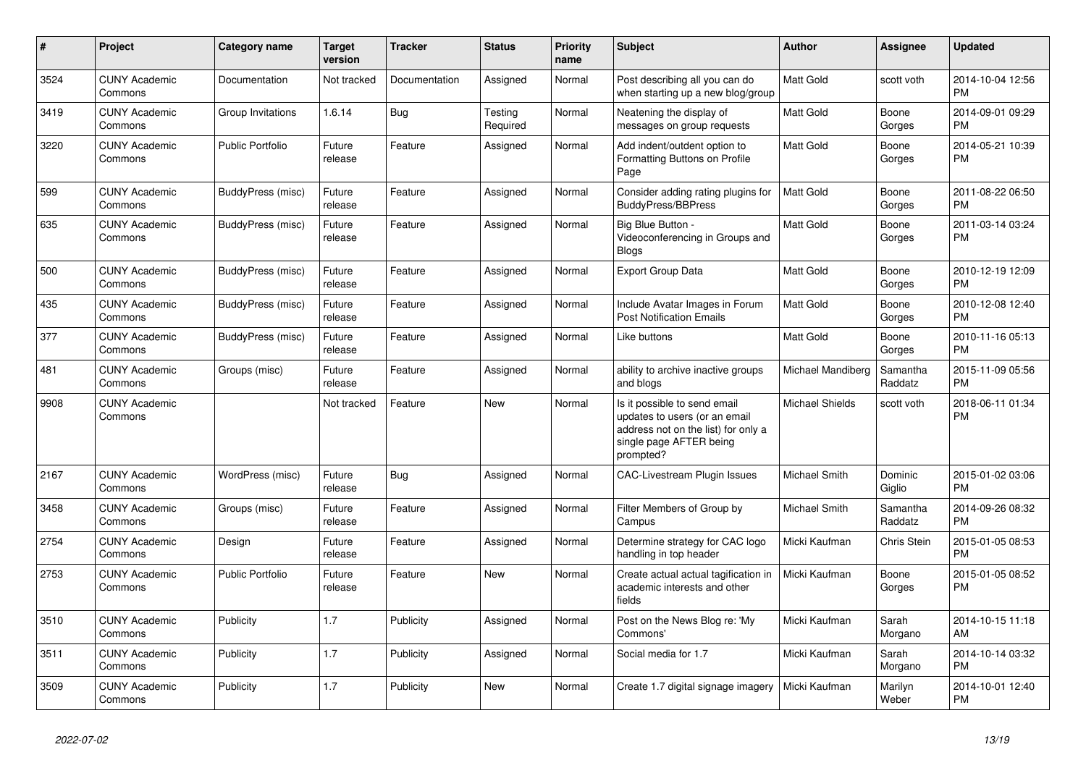| #    | Project                         | Category name           | <b>Target</b><br>version | <b>Tracker</b> | <b>Status</b>       | <b>Priority</b><br>name | <b>Subject</b>                                                                                                                               | <b>Author</b>          | <b>Assignee</b>     | <b>Updated</b>                |
|------|---------------------------------|-------------------------|--------------------------|----------------|---------------------|-------------------------|----------------------------------------------------------------------------------------------------------------------------------------------|------------------------|---------------------|-------------------------------|
| 3524 | <b>CUNY Academic</b><br>Commons | Documentation           | Not tracked              | Documentation  | Assigned            | Normal                  | Post describing all you can do<br>when starting up a new blog/group                                                                          | <b>Matt Gold</b>       | scott voth          | 2014-10-04 12:56<br><b>PM</b> |
| 3419 | <b>CUNY Academic</b><br>Commons | Group Invitations       | 1.6.14                   | Bug            | Testing<br>Required | Normal                  | Neatening the display of<br>messages on group requests                                                                                       | Matt Gold              | Boone<br>Gorges     | 2014-09-01 09:29<br><b>PM</b> |
| 3220 | <b>CUNY Academic</b><br>Commons | <b>Public Portfolio</b> | Future<br>release        | Feature        | Assigned            | Normal                  | Add indent/outdent option to<br>Formatting Buttons on Profile<br>Page                                                                        | <b>Matt Gold</b>       | Boone<br>Gorges     | 2014-05-21 10:39<br><b>PM</b> |
| 599  | <b>CUNY Academic</b><br>Commons | BuddyPress (misc)       | Future<br>release        | Feature        | Assigned            | Normal                  | Consider adding rating plugins for<br><b>BuddyPress/BBPress</b>                                                                              | <b>Matt Gold</b>       | Boone<br>Gorges     | 2011-08-22 06:50<br><b>PM</b> |
| 635  | <b>CUNY Academic</b><br>Commons | BuddyPress (misc)       | Future<br>release        | Feature        | Assigned            | Normal                  | Big Blue Button -<br>Videoconferencing in Groups and<br>Blogs                                                                                | Matt Gold              | Boone<br>Gorges     | 2011-03-14 03:24<br><b>PM</b> |
| 500  | <b>CUNY Academic</b><br>Commons | BuddyPress (misc)       | Future<br>release        | Feature        | Assigned            | Normal                  | <b>Export Group Data</b>                                                                                                                     | Matt Gold              | Boone<br>Gorges     | 2010-12-19 12:09<br><b>PM</b> |
| 435  | <b>CUNY Academic</b><br>Commons | BuddyPress (misc)       | Future<br>release        | Feature        | Assigned            | Normal                  | Include Avatar Images in Forum<br><b>Post Notification Emails</b>                                                                            | <b>Matt Gold</b>       | Boone<br>Gorges     | 2010-12-08 12:40<br><b>PM</b> |
| 377  | <b>CUNY Academic</b><br>Commons | BuddyPress (misc)       | Future<br>release        | Feature        | Assigned            | Normal                  | Like buttons                                                                                                                                 | Matt Gold              | Boone<br>Gorges     | 2010-11-16 05:13<br><b>PM</b> |
| 481  | <b>CUNY Academic</b><br>Commons | Groups (misc)           | Future<br>release        | Feature        | Assigned            | Normal                  | ability to archive inactive groups<br>and blogs                                                                                              | Michael Mandiberg      | Samantha<br>Raddatz | 2015-11-09 05:56<br><b>PM</b> |
| 9908 | <b>CUNY Academic</b><br>Commons |                         | Not tracked              | Feature        | <b>New</b>          | Normal                  | Is it possible to send email<br>updates to users (or an email<br>address not on the list) for only a<br>single page AFTER being<br>prompted? | <b>Michael Shields</b> | scott voth          | 2018-06-11 01:34<br><b>PM</b> |
| 2167 | <b>CUNY Academic</b><br>Commons | WordPress (misc)        | Future<br>release        | <b>Bug</b>     | Assigned            | Normal                  | <b>CAC-Livestream Plugin Issues</b>                                                                                                          | <b>Michael Smith</b>   | Dominic<br>Giglio   | 2015-01-02 03:06<br><b>PM</b> |
| 3458 | <b>CUNY Academic</b><br>Commons | Groups (misc)           | Future<br>release        | Feature        | Assigned            | Normal                  | Filter Members of Group by<br>Campus                                                                                                         | Michael Smith          | Samantha<br>Raddatz | 2014-09-26 08:32<br><b>PM</b> |
| 2754 | <b>CUNY Academic</b><br>Commons | Design                  | Future<br>release        | Feature        | Assigned            | Normal                  | Determine strategy for CAC logo<br>handling in top header                                                                                    | Micki Kaufman          | Chris Stein         | 2015-01-05 08:53<br><b>PM</b> |
| 2753 | <b>CUNY Academic</b><br>Commons | <b>Public Portfolio</b> | Future<br>release        | Feature        | <b>New</b>          | Normal                  | Create actual actual tagification in<br>academic interests and other<br>fields                                                               | Micki Kaufman          | Boone<br>Gorges     | 2015-01-05 08:52<br><b>PM</b> |
| 3510 | <b>CUNY Academic</b><br>Commons | Publicity               | 1.7                      | Publicity      | Assigned            | Normal                  | Post on the News Blog re: 'My<br>Commons'                                                                                                    | Micki Kaufman          | Sarah<br>Morgano    | 2014-10-15 11:18<br>AM        |
| 3511 | <b>CUNY Academic</b><br>Commons | Publicity               | 1.7                      | Publicity      | Assigned            | Normal                  | Social media for 1.7                                                                                                                         | Micki Kaufman          | Sarah<br>Morgano    | 2014-10-14 03:32<br><b>PM</b> |
| 3509 | <b>CUNY Academic</b><br>Commons | Publicity               | 1.7                      | Publicity      | New                 | Normal                  | Create 1.7 digital signage imagery                                                                                                           | Micki Kaufman          | Marilyn<br>Weber    | 2014-10-01 12:40<br><b>PM</b> |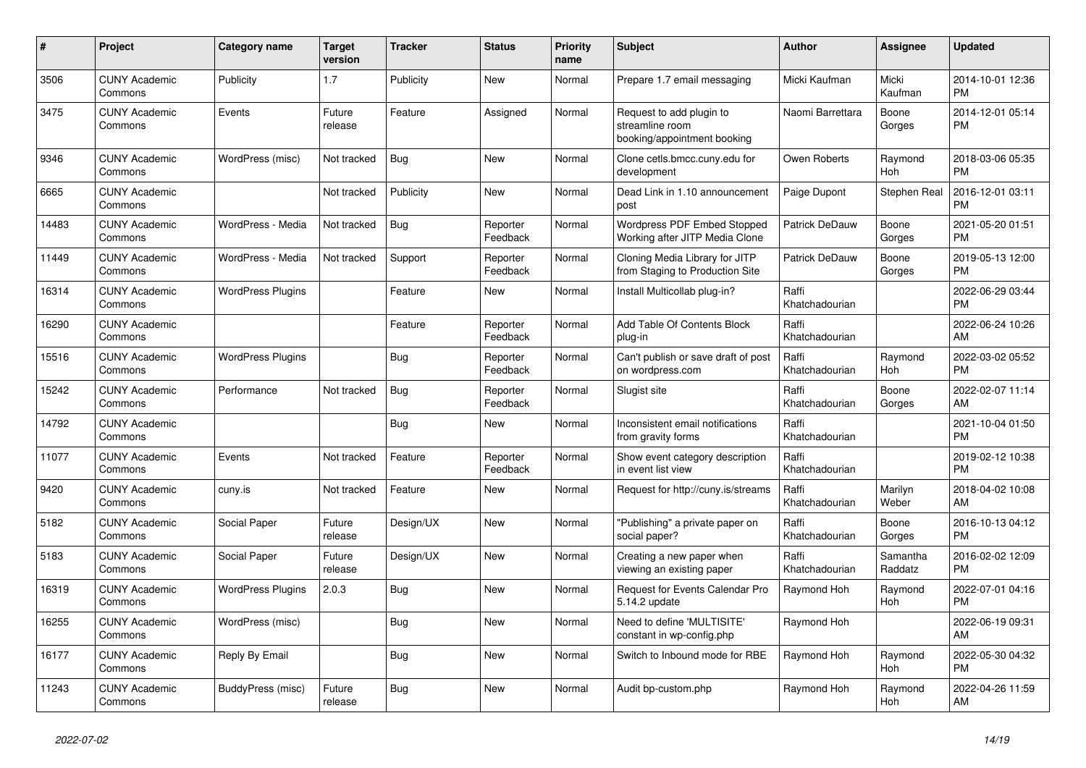| $\vert$ # | <b>Project</b>                  | Category name            | <b>Target</b><br>version | <b>Tracker</b> | <b>Status</b>        | <b>Priority</b><br>name | <b>Subject</b>                                                             | <b>Author</b>           | Assignee            | <b>Updated</b>                |
|-----------|---------------------------------|--------------------------|--------------------------|----------------|----------------------|-------------------------|----------------------------------------------------------------------------|-------------------------|---------------------|-------------------------------|
| 3506      | <b>CUNY Academic</b><br>Commons | Publicity                | 1.7                      | Publicity      | <b>New</b>           | Normal                  | Prepare 1.7 email messaging                                                | Micki Kaufman           | Micki<br>Kaufman    | 2014-10-01 12:36<br><b>PM</b> |
| 3475      | <b>CUNY Academic</b><br>Commons | Events                   | Future<br>release        | Feature        | Assigned             | Normal                  | Request to add plugin to<br>streamline room<br>booking/appointment booking | Naomi Barrettara        | Boone<br>Gorges     | 2014-12-01 05:14<br><b>PM</b> |
| 9346      | <b>CUNY Academic</b><br>Commons | WordPress (misc)         | Not tracked              | Bug            | <b>New</b>           | Normal                  | Clone cetls.bmcc.cuny.edu for<br>development                               | Owen Roberts            | Raymond<br>Hoh      | 2018-03-06 05:35<br><b>PM</b> |
| 6665      | <b>CUNY Academic</b><br>Commons |                          | Not tracked              | Publicity      | <b>New</b>           | Normal                  | Dead Link in 1.10 announcement<br>post                                     | Paige Dupont            | <b>Stephen Real</b> | 2016-12-01 03:11<br><b>PM</b> |
| 14483     | <b>CUNY Academic</b><br>Commons | WordPress - Media        | Not tracked              | Bug            | Reporter<br>Feedback | Normal                  | Wordpress PDF Embed Stopped<br>Working after JITP Media Clone              | Patrick DeDauw          | Boone<br>Gorges     | 2021-05-20 01:51<br><b>PM</b> |
| 11449     | <b>CUNY Academic</b><br>Commons | WordPress - Media        | Not tracked              | Support        | Reporter<br>Feedback | Normal                  | Cloning Media Library for JITP<br>from Staging to Production Site          | <b>Patrick DeDauw</b>   | Boone<br>Gorges     | 2019-05-13 12:00<br><b>PM</b> |
| 16314     | <b>CUNY Academic</b><br>Commons | <b>WordPress Plugins</b> |                          | Feature        | <b>New</b>           | Normal                  | Install Multicollab plug-in?                                               | Raffi<br>Khatchadourian |                     | 2022-06-29 03:44<br><b>PM</b> |
| 16290     | <b>CUNY Academic</b><br>Commons |                          |                          | Feature        | Reporter<br>Feedback | Normal                  | Add Table Of Contents Block<br>plug-in                                     | Raffi<br>Khatchadourian |                     | 2022-06-24 10:26<br>AM        |
| 15516     | <b>CUNY Academic</b><br>Commons | <b>WordPress Plugins</b> |                          | Bug            | Reporter<br>Feedback | Normal                  | Can't publish or save draft of post<br>on wordpress.com                    | Raffi<br>Khatchadourian | Raymond<br>Hoh      | 2022-03-02 05:52<br><b>PM</b> |
| 15242     | <b>CUNY Academic</b><br>Commons | Performance              | Not tracked              | <b>Bug</b>     | Reporter<br>Feedback | Normal                  | Slugist site                                                               | Raffi<br>Khatchadourian | Boone<br>Gorges     | 2022-02-07 11:14<br>AM        |
| 14792     | <b>CUNY Academic</b><br>Commons |                          |                          | Bug            | <b>New</b>           | Normal                  | Inconsistent email notifications<br>from gravity forms                     | Raffi<br>Khatchadourian |                     | 2021-10-04 01:50<br><b>PM</b> |
| 11077     | <b>CUNY Academic</b><br>Commons | Events                   | Not tracked              | Feature        | Reporter<br>Feedback | Normal                  | Show event category description<br>in event list view                      | Raffi<br>Khatchadourian |                     | 2019-02-12 10:38<br><b>PM</b> |
| 9420      | <b>CUNY Academic</b><br>Commons | cuny.is                  | Not tracked              | Feature        | <b>New</b>           | Normal                  | Request for http://cuny.is/streams                                         | Raffi<br>Khatchadourian | Marilyn<br>Weber    | 2018-04-02 10:08<br>AM        |
| 5182      | <b>CUNY Academic</b><br>Commons | Social Paper             | Future<br>release        | Design/UX      | <b>New</b>           | Normal                  | "Publishing" a private paper on<br>social paper?                           | Raffi<br>Khatchadourian | Boone<br>Gorges     | 2016-10-13 04:12<br><b>PM</b> |
| 5183      | <b>CUNY Academic</b><br>Commons | Social Paper             | Future<br>release        | Design/UX      | New                  | Normal                  | Creating a new paper when<br>viewing an existing paper                     | Raffi<br>Khatchadourian | Samantha<br>Raddatz | 2016-02-02 12:09<br><b>PM</b> |
| 16319     | <b>CUNY Academic</b><br>Commons | <b>WordPress Plugins</b> | 2.0.3                    | Bug            | <b>New</b>           | Normal                  | Request for Events Calendar Pro<br>5.14.2 update                           | Raymond Hoh             | Raymond<br>Hoh      | 2022-07-01 04:16<br><b>PM</b> |
| 16255     | <b>CUNY Academic</b><br>Commons | WordPress (misc)         |                          | Bug            | <b>New</b>           | Normal                  | Need to define 'MULTISITE'<br>constant in wp-config.php                    | Raymond Hoh             |                     | 2022-06-19 09:31<br>AM        |
| 16177     | <b>CUNY Academic</b><br>Commons | Reply By Email           |                          | <b>Bug</b>     | <b>New</b>           | Normal                  | Switch to Inbound mode for RBE                                             | Raymond Hoh             | Raymond<br>Hoh      | 2022-05-30 04:32<br><b>PM</b> |
| 11243     | <b>CUNY Academic</b><br>Commons | BuddyPress (misc)        | Future<br>release        | Bug            | <b>New</b>           | Normal                  | Audit bp-custom.php                                                        | Raymond Hoh             | Raymond<br>Hoh      | 2022-04-26 11:59<br>AM        |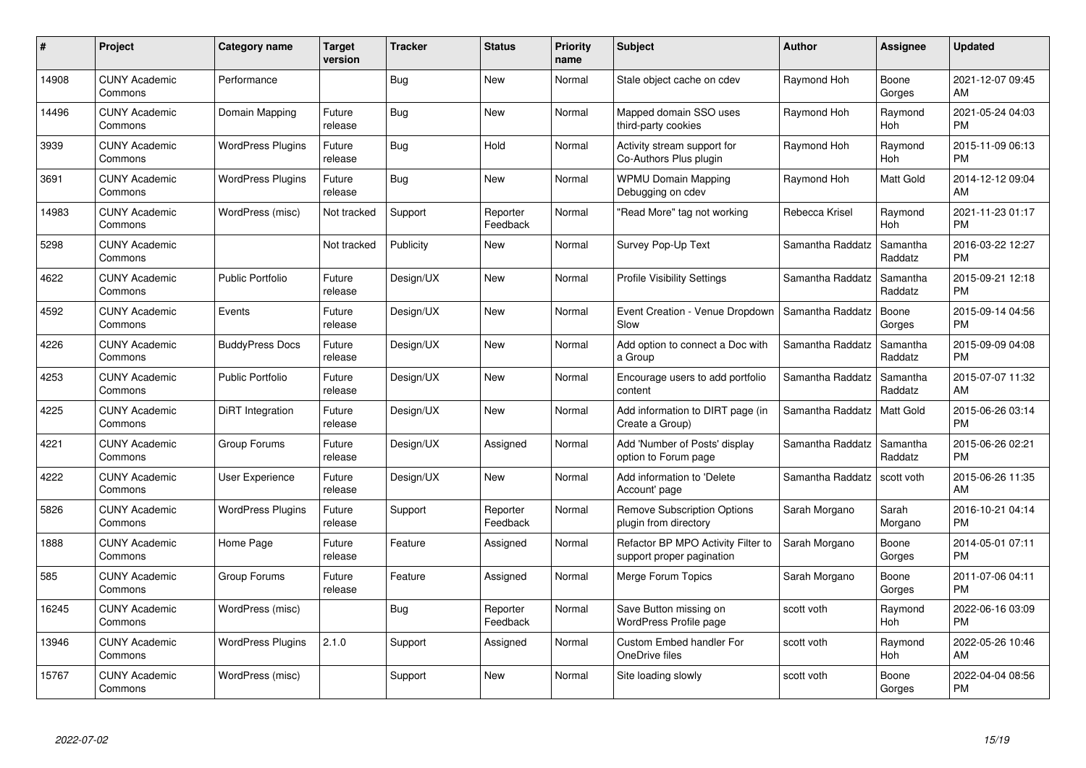| $\#$  | Project                         | <b>Category name</b>     | <b>Target</b><br>version | <b>Tracker</b> | <b>Status</b>        | Priority<br>name | <b>Subject</b>                                                  | <b>Author</b>    | <b>Assignee</b>     | <b>Updated</b>                |
|-------|---------------------------------|--------------------------|--------------------------|----------------|----------------------|------------------|-----------------------------------------------------------------|------------------|---------------------|-------------------------------|
| 14908 | <b>CUNY Academic</b><br>Commons | Performance              |                          | Bug            | <b>New</b>           | Normal           | Stale object cache on cdev                                      | Raymond Hoh      | Boone<br>Gorges     | 2021-12-07 09:45<br>AM        |
| 14496 | <b>CUNY Academic</b><br>Commons | Domain Mapping           | Future<br>release        | Bug            | <b>New</b>           | Normal           | Mapped domain SSO uses<br>third-party cookies                   | Raymond Hoh      | Raymond<br>Hoh      | 2021-05-24 04:03<br><b>PM</b> |
| 3939  | <b>CUNY Academic</b><br>Commons | <b>WordPress Plugins</b> | Future<br>release        | Bug            | Hold                 | Normal           | Activity stream support for<br>Co-Authors Plus plugin           | Raymond Hoh      | Raymond<br>Hoh      | 2015-11-09 06:13<br><b>PM</b> |
| 3691  | <b>CUNY Academic</b><br>Commons | <b>WordPress Plugins</b> | Future<br>release        | Bug            | <b>New</b>           | Normal           | <b>WPMU Domain Mapping</b><br>Debugging on cdev                 | Raymond Hoh      | Matt Gold           | 2014-12-12 09:04<br>AM        |
| 14983 | <b>CUNY Academic</b><br>Commons | WordPress (misc)         | Not tracked              | Support        | Reporter<br>Feedback | Normal           | "Read More" tag not working                                     | Rebecca Krisel   | Raymond<br>Hoh      | 2021-11-23 01:17<br><b>PM</b> |
| 5298  | <b>CUNY Academic</b><br>Commons |                          | Not tracked              | Publicity      | <b>New</b>           | Normal           | Survey Pop-Up Text                                              | Samantha Raddatz | Samantha<br>Raddatz | 2016-03-22 12:27<br><b>PM</b> |
| 4622  | <b>CUNY Academic</b><br>Commons | <b>Public Portfolio</b>  | Future<br>release        | Design/UX      | New                  | Normal           | <b>Profile Visibility Settings</b>                              | Samantha Raddatz | Samantha<br>Raddatz | 2015-09-21 12:18<br><b>PM</b> |
| 4592  | <b>CUNY Academic</b><br>Commons | Events                   | Future<br>release        | Design/UX      | <b>New</b>           | Normal           | Event Creation - Venue Dropdown<br>Slow                         | Samantha Raddatz | Boone<br>Gorges     | 2015-09-14 04:56<br><b>PM</b> |
| 4226  | <b>CUNY Academic</b><br>Commons | <b>BuddyPress Docs</b>   | Future<br>release        | Design/UX      | New                  | Normal           | Add option to connect a Doc with<br>a Group                     | Samantha Raddatz | Samantha<br>Raddatz | 2015-09-09 04:08<br><b>PM</b> |
| 4253  | <b>CUNY Academic</b><br>Commons | <b>Public Portfolio</b>  | Future<br>release        | Design/UX      | New                  | Normal           | Encourage users to add portfolio<br>content                     | Samantha Raddatz | Samantha<br>Raddatz | 2015-07-07 11:32<br>AM        |
| 4225  | <b>CUNY Academic</b><br>Commons | DiRT Integration         | Future<br>release        | Design/UX      | <b>New</b>           | Normal           | Add information to DIRT page (in<br>Create a Group)             | Samantha Raddatz | Matt Gold           | 2015-06-26 03:14<br><b>PM</b> |
| 4221  | <b>CUNY Academic</b><br>Commons | Group Forums             | Future<br>release        | Design/UX      | Assigned             | Normal           | Add 'Number of Posts' display<br>option to Forum page           | Samantha Raddatz | Samantha<br>Raddatz | 2015-06-26 02:21<br><b>PM</b> |
| 4222  | <b>CUNY Academic</b><br>Commons | User Experience          | Future<br>release        | Design/UX      | New                  | Normal           | Add information to 'Delete<br>Account' page                     | Samantha Raddatz | scott voth          | 2015-06-26 11:35<br>AM        |
| 5826  | <b>CUNY Academic</b><br>Commons | <b>WordPress Plugins</b> | Future<br>release        | Support        | Reporter<br>Feedback | Normal           | <b>Remove Subscription Options</b><br>plugin from directory     | Sarah Morgano    | Sarah<br>Morgano    | 2016-10-21 04:14<br><b>PM</b> |
| 1888  | <b>CUNY Academic</b><br>Commons | Home Page                | Future<br>release        | Feature        | Assigned             | Normal           | Refactor BP MPO Activity Filter to<br>support proper pagination | Sarah Morgano    | Boone<br>Gorges     | 2014-05-01 07:11<br><b>PM</b> |
| 585   | <b>CUNY Academic</b><br>Commons | Group Forums             | Future<br>release        | Feature        | Assigned             | Normal           | Merge Forum Topics                                              | Sarah Morgano    | Boone<br>Gorges     | 2011-07-06 04:11<br><b>PM</b> |
| 16245 | <b>CUNY Academic</b><br>Commons | WordPress (misc)         |                          | Bug            | Reporter<br>Feedback | Normal           | Save Button missing on<br><b>WordPress Profile page</b>         | scott voth       | Raymond<br>Hoh      | 2022-06-16 03:09<br><b>PM</b> |
| 13946 | <b>CUNY Academic</b><br>Commons | <b>WordPress Plugins</b> | 2.1.0                    | Support        | Assigned             | Normal           | Custom Embed handler For<br>OneDrive files                      | scott voth       | Raymond<br>Hoh      | 2022-05-26 10:46<br>AM        |
| 15767 | CUNY Academic<br>Commons        | WordPress (misc)         |                          | Support        | <b>New</b>           | Normal           | Site loading slowly                                             | scott voth       | Boone<br>Gorges     | 2022-04-04 08:56<br><b>PM</b> |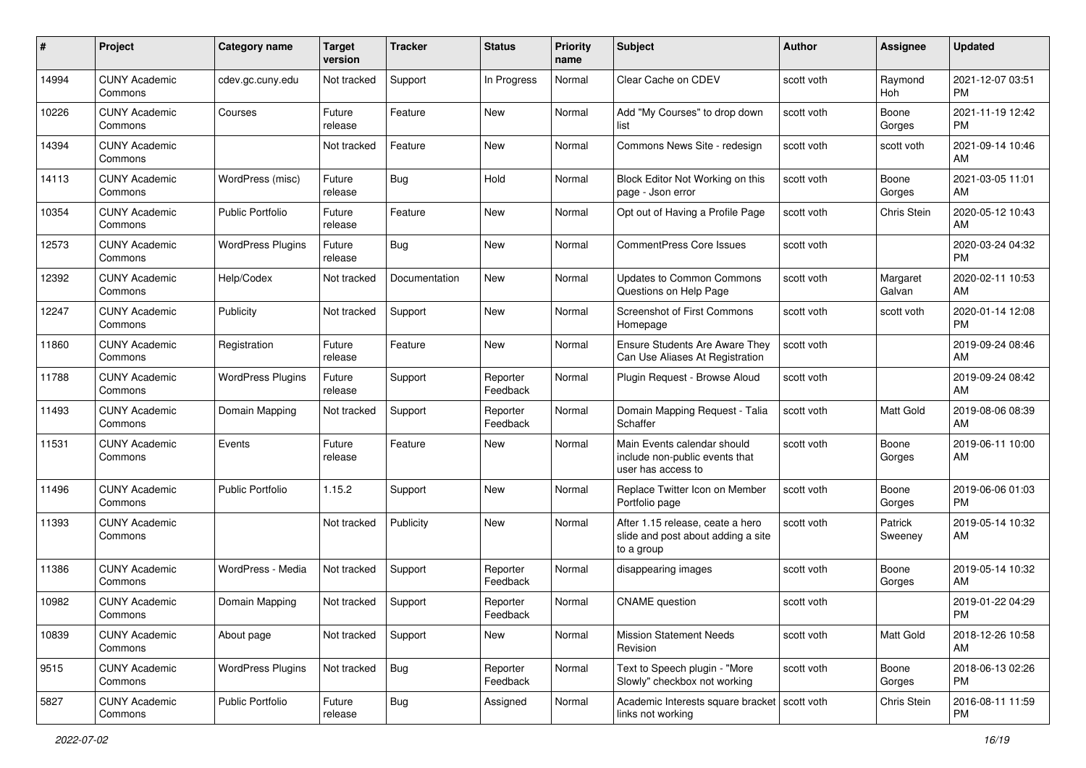| #     | Project                         | <b>Category name</b>     | <b>Target</b><br>version | <b>Tracker</b> | <b>Status</b>        | <b>Priority</b><br>name | <b>Subject</b>                                                                       | <b>Author</b> | <b>Assignee</b>    | <b>Updated</b>                |
|-------|---------------------------------|--------------------------|--------------------------|----------------|----------------------|-------------------------|--------------------------------------------------------------------------------------|---------------|--------------------|-------------------------------|
| 14994 | <b>CUNY Academic</b><br>Commons | cdev.gc.cuny.edu         | Not tracked              | Support        | In Progress          | Normal                  | Clear Cache on CDEV                                                                  | scott voth    | Raymond<br>Hoh     | 2021-12-07 03:51<br>PM        |
| 10226 | <b>CUNY Academic</b><br>Commons | Courses                  | Future<br>release        | Feature        | New                  | Normal                  | Add "My Courses" to drop down<br>list                                                | scott voth    | Boone<br>Gorges    | 2021-11-19 12:42<br><b>PM</b> |
| 14394 | <b>CUNY Academic</b><br>Commons |                          | Not tracked              | Feature        | New                  | Normal                  | Commons News Site - redesign                                                         | scott voth    | scott voth         | 2021-09-14 10:46<br>AM        |
| 14113 | <b>CUNY Academic</b><br>Commons | WordPress (misc)         | Future<br>release        | Bug            | Hold                 | Normal                  | Block Editor Not Working on this<br>page - Json error                                | scott voth    | Boone<br>Gorges    | 2021-03-05 11:01<br>AM        |
| 10354 | <b>CUNY Academic</b><br>Commons | <b>Public Portfolio</b>  | Future<br>release        | Feature        | New                  | Normal                  | Opt out of Having a Profile Page                                                     | scott voth    | Chris Stein        | 2020-05-12 10:43<br>AM        |
| 12573 | <b>CUNY Academic</b><br>Commons | <b>WordPress Plugins</b> | Future<br>release        | Bug            | New                  | Normal                  | <b>CommentPress Core Issues</b>                                                      | scott voth    |                    | 2020-03-24 04:32<br><b>PM</b> |
| 12392 | <b>CUNY Academic</b><br>Commons | Help/Codex               | Not tracked              | Documentation  | New                  | Normal                  | <b>Updates to Common Commons</b><br>Questions on Help Page                           | scott voth    | Margaret<br>Galvan | 2020-02-11 10:53<br>AM        |
| 12247 | <b>CUNY Academic</b><br>Commons | Publicity                | Not tracked              | Support        | New                  | Normal                  | Screenshot of First Commons<br>Homepage                                              | scott voth    | scott voth         | 2020-01-14 12:08<br><b>PM</b> |
| 11860 | <b>CUNY Academic</b><br>Commons | Registration             | Future<br>release        | Feature        | New                  | Normal                  | Ensure Students Are Aware They<br>Can Use Aliases At Registration                    | scott voth    |                    | 2019-09-24 08:46<br>AM        |
| 11788 | <b>CUNY Academic</b><br>Commons | <b>WordPress Plugins</b> | Future<br>release        | Support        | Reporter<br>Feedback | Normal                  | Plugin Request - Browse Aloud                                                        | scott voth    |                    | 2019-09-24 08:42<br>AM        |
| 11493 | <b>CUNY Academic</b><br>Commons | Domain Mapping           | Not tracked              | Support        | Reporter<br>Feedback | Normal                  | Domain Mapping Request - Talia<br>Schaffer                                           | scott voth    | Matt Gold          | 2019-08-06 08:39<br>AM        |
| 11531 | <b>CUNY Academic</b><br>Commons | Events                   | Future<br>release        | Feature        | New                  | Normal                  | Main Events calendar should<br>include non-public events that<br>user has access to  | scott voth    | Boone<br>Gorges    | 2019-06-11 10:00<br>AM        |
| 11496 | <b>CUNY Academic</b><br>Commons | <b>Public Portfolio</b>  | 1.15.2                   | Support        | New                  | Normal                  | Replace Twitter Icon on Member<br>Portfolio page                                     | scott voth    | Boone<br>Gorges    | 2019-06-06 01:03<br><b>PM</b> |
| 11393 | <b>CUNY Academic</b><br>Commons |                          | Not tracked              | Publicity      | New                  | Normal                  | After 1.15 release, ceate a hero<br>slide and post about adding a site<br>to a group | scott voth    | Patrick<br>Sweeney | 2019-05-14 10:32<br>AM        |
| 11386 | <b>CUNY Academic</b><br>Commons | WordPress - Media        | Not tracked              | Support        | Reporter<br>Feedback | Normal                  | disappearing images                                                                  | scott voth    | Boone<br>Gorges    | 2019-05-14 10:32<br>AM        |
| 10982 | <b>CUNY Academic</b><br>Commons | Domain Mapping           | Not tracked              | Support        | Reporter<br>Feedback | Normal                  | <b>CNAME</b> question                                                                | scott voth    |                    | 2019-01-22 04:29<br>PM        |
| 10839 | <b>CUNY Academic</b><br>Commons | About page               | Not tracked              | Support        | New                  | Normal                  | <b>Mission Statement Needs</b><br>Revision                                           | scott voth    | Matt Gold          | 2018-12-26 10:58<br>AM        |
| 9515  | <b>CUNY Academic</b><br>Commons | <b>WordPress Plugins</b> | Not tracked              | <b>Bug</b>     | Reporter<br>Feedback | Normal                  | Text to Speech plugin - "More<br>Slowly" checkbox not working                        | scott voth    | Boone<br>Gorges    | 2018-06-13 02:26<br>PM        |
| 5827  | <b>CUNY Academic</b><br>Commons | Public Portfolio         | Future<br>release        | <b>Bug</b>     | Assigned             | Normal                  | Academic Interests square bracket   scott voth<br>links not working                  |               | Chris Stein        | 2016-08-11 11:59<br>PM        |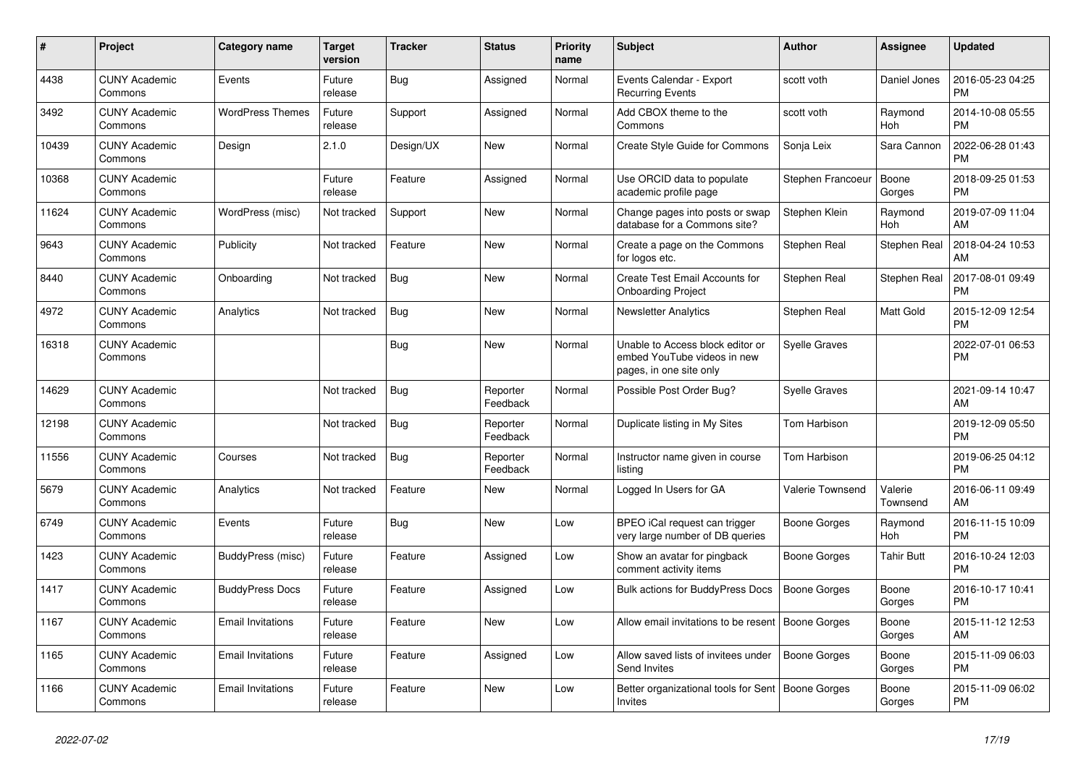| #     | <b>Project</b>                  | Category name            | <b>Target</b><br>version | <b>Tracker</b> | <b>Status</b>        | <b>Priority</b><br>name | <b>Subject</b>                                                                             | <b>Author</b>        | Assignee            | <b>Updated</b>                |
|-------|---------------------------------|--------------------------|--------------------------|----------------|----------------------|-------------------------|--------------------------------------------------------------------------------------------|----------------------|---------------------|-------------------------------|
| 4438  | <b>CUNY Academic</b><br>Commons | Events                   | Future<br>release        | Bug            | Assigned             | Normal                  | Events Calendar - Export<br><b>Recurring Events</b>                                        | scott voth           | Daniel Jones        | 2016-05-23 04:25<br><b>PM</b> |
| 3492  | <b>CUNY Academic</b><br>Commons | <b>WordPress Themes</b>  | Future<br>release        | Support        | Assigned             | Normal                  | Add CBOX theme to the<br>Commons                                                           | scott voth           | Raymond<br>Hoh      | 2014-10-08 05:55<br><b>PM</b> |
| 10439 | <b>CUNY Academic</b><br>Commons | Design                   | 2.1.0                    | Design/UX      | New                  | Normal                  | Create Style Guide for Commons                                                             | Sonja Leix           | Sara Cannon         | 2022-06-28 01:43<br><b>PM</b> |
| 10368 | <b>CUNY Academic</b><br>Commons |                          | Future<br>release        | Feature        | Assigned             | Normal                  | Use ORCID data to populate<br>academic profile page                                        | Stephen Francoeur    | Boone<br>Gorges     | 2018-09-25 01:53<br><b>PM</b> |
| 11624 | <b>CUNY Academic</b><br>Commons | WordPress (misc)         | Not tracked              | Support        | New                  | Normal                  | Change pages into posts or swap<br>database for a Commons site?                            | Stephen Klein        | Raymond<br>Hoh      | 2019-07-09 11:04<br>AM        |
| 9643  | <b>CUNY Academic</b><br>Commons | Publicity                | Not tracked              | Feature        | New                  | Normal                  | Create a page on the Commons<br>for logos etc.                                             | Stephen Real         | Stephen Real        | 2018-04-24 10:53<br>AM        |
| 8440  | <b>CUNY Academic</b><br>Commons | Onboarding               | Not tracked              | Bug            | <b>New</b>           | Normal                  | Create Test Email Accounts for<br><b>Onboarding Project</b>                                | Stephen Real         | Stephen Real        | 2017-08-01 09:49<br><b>PM</b> |
| 4972  | <b>CUNY Academic</b><br>Commons | Analytics                | Not tracked              | <b>Bug</b>     | <b>New</b>           | Normal                  | <b>Newsletter Analytics</b>                                                                | Stephen Real         | Matt Gold           | 2015-12-09 12:54<br><b>PM</b> |
| 16318 | <b>CUNY Academic</b><br>Commons |                          |                          | <b>Bug</b>     | New                  | Normal                  | Unable to Access block editor or<br>embed YouTube videos in new<br>pages, in one site only | <b>Syelle Graves</b> |                     | 2022-07-01 06:53<br><b>PM</b> |
| 14629 | <b>CUNY Academic</b><br>Commons |                          | Not tracked              | Bug            | Reporter<br>Feedback | Normal                  | Possible Post Order Bug?                                                                   | <b>Syelle Graves</b> |                     | 2021-09-14 10:47<br>AM        |
| 12198 | <b>CUNY Academic</b><br>Commons |                          | Not tracked              | Bug            | Reporter<br>Feedback | Normal                  | Duplicate listing in My Sites                                                              | Tom Harbison         |                     | 2019-12-09 05:50<br><b>PM</b> |
| 11556 | <b>CUNY Academic</b><br>Commons | Courses                  | Not tracked              | Bug            | Reporter<br>Feedback | Normal                  | Instructor name given in course<br>listing                                                 | Tom Harbison         |                     | 2019-06-25 04:12<br><b>PM</b> |
| 5679  | <b>CUNY Academic</b><br>Commons | Analytics                | Not tracked              | Feature        | <b>New</b>           | Normal                  | Logged In Users for GA                                                                     | Valerie Townsend     | Valerie<br>Townsend | 2016-06-11 09:49<br>AM        |
| 6749  | <b>CUNY Academic</b><br>Commons | Events                   | Future<br>release        | Bug            | New                  | Low                     | BPEO iCal request can trigger<br>very large number of DB queries                           | Boone Gorges         | Raymond<br>Hoh      | 2016-11-15 10:09<br><b>PM</b> |
| 1423  | <b>CUNY Academic</b><br>Commons | BuddyPress (misc)        | Future<br>release        | Feature        | Assigned             | Low                     | Show an avatar for pingback<br>comment activity items                                      | Boone Gorges         | <b>Tahir Butt</b>   | 2016-10-24 12:03<br><b>PM</b> |
| 1417  | <b>CUNY Academic</b><br>Commons | <b>BuddyPress Docs</b>   | Future<br>release        | Feature        | Assigned             | Low                     | Bulk actions for BuddyPress Docs                                                           | <b>Boone Gorges</b>  | Boone<br>Gorges     | 2016-10-17 10:41<br><b>PM</b> |
| 1167  | <b>CUNY Academic</b><br>Commons | <b>Email Invitations</b> | Future<br>release        | Feature        | <b>New</b>           | Low                     | Allow email invitations to be resent   Boone Gorges                                        |                      | Boone<br>Gorges     | 2015-11-12 12:53<br>AM        |
| 1165  | <b>CUNY Academic</b><br>Commons | Email Invitations        | Future<br>release        | Feature        | Assigned             | Low                     | Allow saved lists of invitees under<br>Send Invites                                        | <b>Boone Gorges</b>  | Boone<br>Gorges     | 2015-11-09 06:03<br><b>PM</b> |
| 1166  | <b>CUNY Academic</b><br>Commons | <b>Email Invitations</b> | Future<br>release        | Feature        | <b>New</b>           | Low                     | Better organizational tools for Sent   Boone Gorges<br>Invites                             |                      | Boone<br>Gorges     | 2015-11-09 06:02<br><b>PM</b> |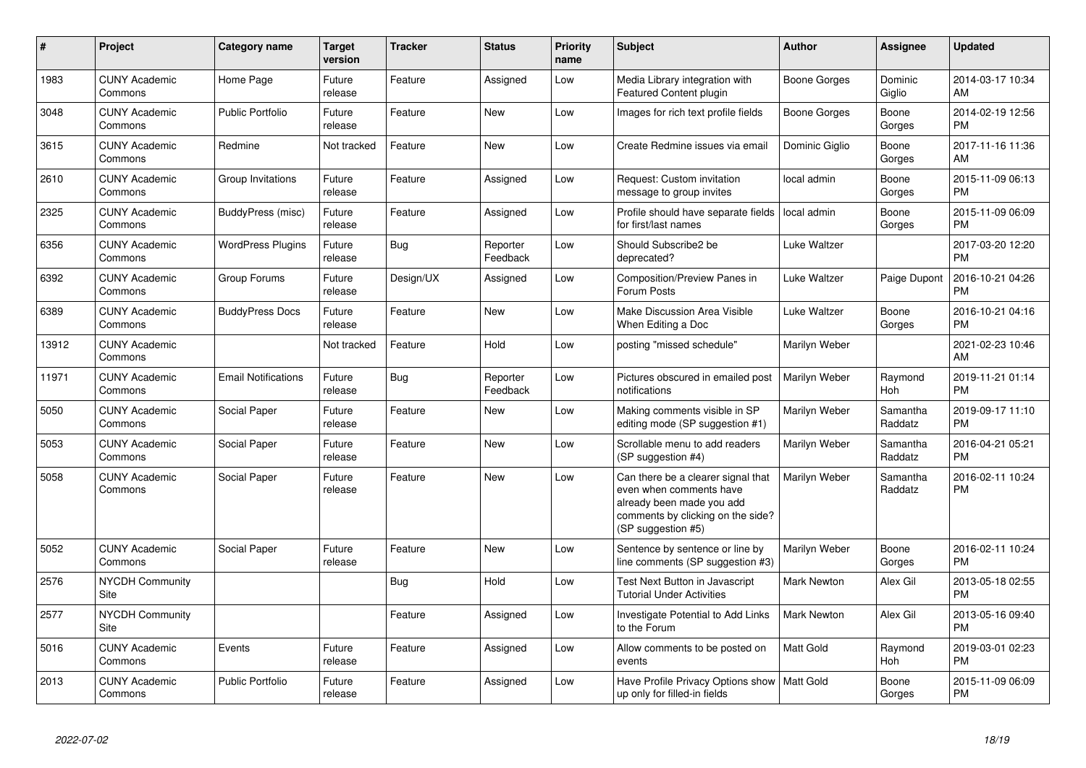| $\pmb{\#}$ | Project                         | <b>Category name</b>       | <b>Target</b><br>version | <b>Tracker</b> | <b>Status</b>        | <b>Priority</b><br>name | Subject                                                                                                                                               | <b>Author</b>      | Assignee            | <b>Updated</b>                |
|------------|---------------------------------|----------------------------|--------------------------|----------------|----------------------|-------------------------|-------------------------------------------------------------------------------------------------------------------------------------------------------|--------------------|---------------------|-------------------------------|
| 1983       | <b>CUNY Academic</b><br>Commons | Home Page                  | Future<br>release        | Feature        | Assigned             | Low                     | Media Library integration with<br><b>Featured Content plugin</b>                                                                                      | Boone Gorges       | Dominic<br>Giglio   | 2014-03-17 10:34<br>AM        |
| 3048       | <b>CUNY Academic</b><br>Commons | <b>Public Portfolio</b>    | Future<br>release        | Feature        | <b>New</b>           | Low                     | Images for rich text profile fields                                                                                                                   | Boone Gorges       | Boone<br>Gorges     | 2014-02-19 12:56<br><b>PM</b> |
| 3615       | <b>CUNY Academic</b><br>Commons | Redmine                    | Not tracked              | Feature        | <b>New</b>           | Low                     | Create Redmine issues via email                                                                                                                       | Dominic Giglio     | Boone<br>Gorges     | 2017-11-16 11:36<br>AM        |
| 2610       | <b>CUNY Academic</b><br>Commons | Group Invitations          | Future<br>release        | Feature        | Assigned             | Low                     | Request: Custom invitation<br>message to group invites                                                                                                | local admin        | Boone<br>Gorges     | 2015-11-09 06:13<br><b>PM</b> |
| 2325       | <b>CUNY Academic</b><br>Commons | BuddyPress (misc)          | Future<br>release        | Feature        | Assigned             | Low                     | Profile should have separate fields<br>for first/last names                                                                                           | local admin        | Boone<br>Gorges     | 2015-11-09 06:09<br><b>PM</b> |
| 6356       | <b>CUNY Academic</b><br>Commons | <b>WordPress Plugins</b>   | Future<br>release        | Bug            | Reporter<br>Feedback | Low                     | Should Subscribe2 be<br>deprecated?                                                                                                                   | Luke Waltzer       |                     | 2017-03-20 12:20<br><b>PM</b> |
| 6392       | <b>CUNY Academic</b><br>Commons | Group Forums               | Future<br>release        | Design/UX      | Assigned             | Low                     | Composition/Preview Panes in<br>Forum Posts                                                                                                           | Luke Waltzer       | Paige Dupont        | 2016-10-21 04:26<br><b>PM</b> |
| 6389       | <b>CUNY Academic</b><br>Commons | <b>BuddyPress Docs</b>     | Future<br>release        | Feature        | <b>New</b>           | Low                     | Make Discussion Area Visible<br>When Editing a Doc                                                                                                    | Luke Waltzer       | Boone<br>Gorges     | 2016-10-21 04:16<br><b>PM</b> |
| 13912      | <b>CUNY Academic</b><br>Commons |                            | Not tracked              | Feature        | Hold                 | Low                     | posting "missed schedule"                                                                                                                             | Marilyn Weber      |                     | 2021-02-23 10:46<br>AM        |
| 11971      | <b>CUNY Academic</b><br>Commons | <b>Email Notifications</b> | Future<br>release        | Bug            | Reporter<br>Feedback | Low                     | Pictures obscured in emailed post<br>notifications                                                                                                    | Marilyn Weber      | Raymond<br>Hoh      | 2019-11-21 01:14<br><b>PM</b> |
| 5050       | <b>CUNY Academic</b><br>Commons | Social Paper               | Future<br>release        | Feature        | New                  | Low                     | Making comments visible in SP<br>editing mode (SP suggestion #1)                                                                                      | Marilyn Weber      | Samantha<br>Raddatz | 2019-09-17 11:10<br><b>PM</b> |
| 5053       | <b>CUNY Academic</b><br>Commons | Social Paper               | Future<br>release        | Feature        | New                  | Low                     | Scrollable menu to add readers<br>(SP suggestion #4)                                                                                                  | Marilyn Weber      | Samantha<br>Raddatz | 2016-04-21 05:21<br><b>PM</b> |
| 5058       | <b>CUNY Academic</b><br>Commons | Social Paper               | Future<br>release        | Feature        | New                  | Low                     | Can there be a clearer signal that<br>even when comments have<br>already been made you add<br>comments by clicking on the side?<br>(SP suggestion #5) | Marilyn Weber      | Samantha<br>Raddatz | 2016-02-11 10:24<br><b>PM</b> |
| 5052       | <b>CUNY Academic</b><br>Commons | Social Paper               | Future<br>release        | Feature        | <b>New</b>           | Low                     | Sentence by sentence or line by<br>line comments (SP suggestion #3)                                                                                   | Marilyn Weber      | Boone<br>Gorges     | 2016-02-11 10:24<br><b>PM</b> |
| 2576       | <b>NYCDH Community</b><br>Site  |                            |                          | Bug            | Hold                 | Low                     | <b>Test Next Button in Javascript</b><br><b>Tutorial Under Activities</b>                                                                             | <b>Mark Newton</b> | Alex Gil            | 2013-05-18 02:55<br><b>PM</b> |
| 2577       | <b>NYCDH Community</b><br>Site  |                            |                          | Feature        | Assigned             | Low                     | <b>Investigate Potential to Add Links</b><br>to the Forum                                                                                             | <b>Mark Newton</b> | Alex Gil            | 2013-05-16 09:40<br><b>PM</b> |
| 5016       | <b>CUNY Academic</b><br>Commons | Events                     | Future<br>release        | Feature        | Assigned             | Low                     | Allow comments to be posted on<br>events                                                                                                              | <b>Matt Gold</b>   | Raymond<br>Hoh      | 2019-03-01 02:23<br><b>PM</b> |
| 2013       | <b>CUNY Academic</b><br>Commons | <b>Public Portfolio</b>    | Future<br>release        | Feature        | Assigned             | Low                     | Have Profile Privacy Options show<br>up only for filled-in fields                                                                                     | <b>Matt Gold</b>   | Boone<br>Gorges     | 2015-11-09 06:09<br><b>PM</b> |